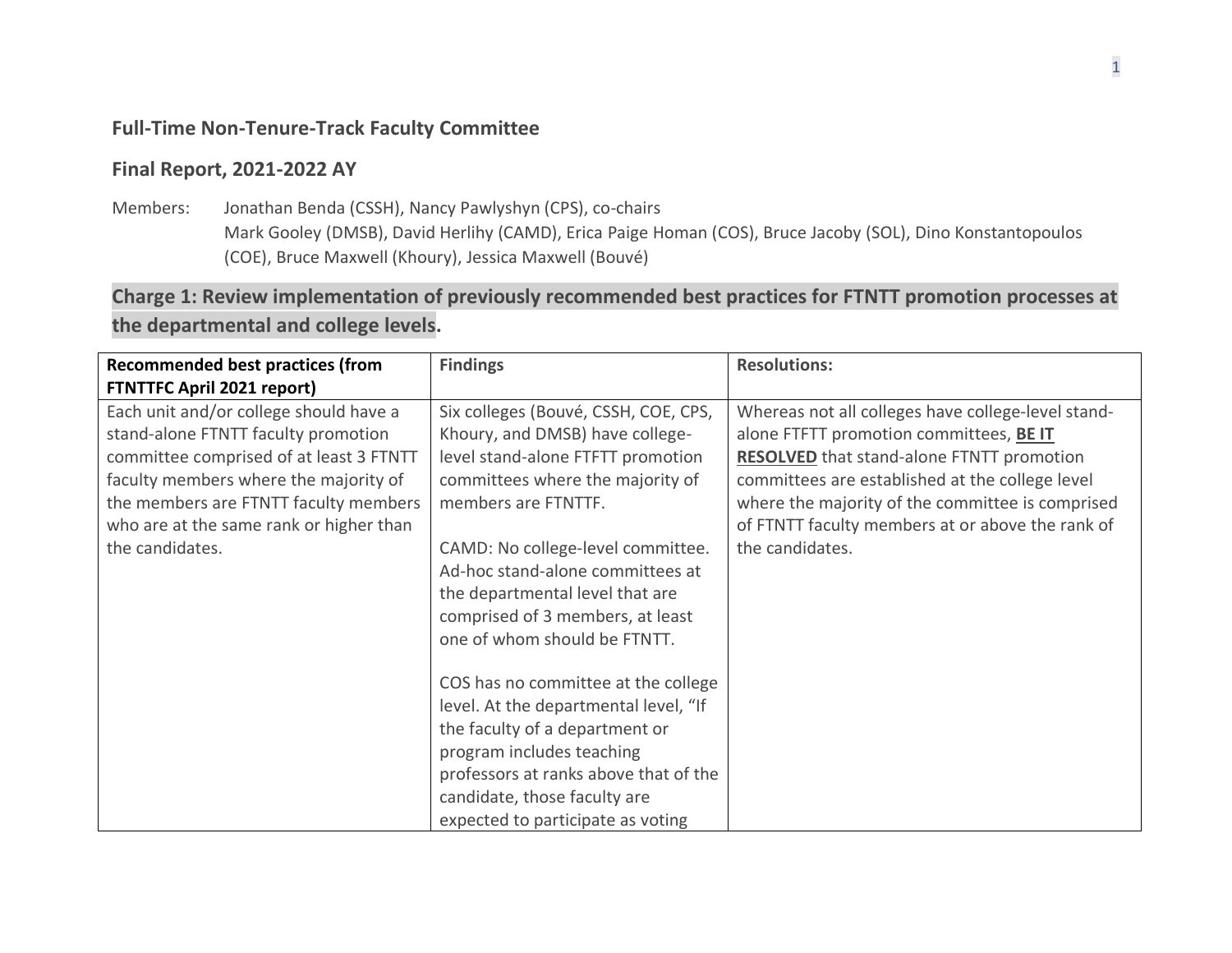## **Full-Time Non-Tenure-Track Faculty Committee**

## **Final Report, 2021-2022 AY**

Members: Jonathan Benda (CSSH), Nancy Pawlyshyn (CPS), co-chairs Mark Gooley (DMSB), David Herlihy (CAMD), Erica Paige Homan (COS), Bruce Jacoby (SOL), Dino Konstantopoulos (COE), Bruce Maxwell (Khoury), Jessica Maxwell (Bouvé)

**Charge 1: Review implementation of previously recommended best practices for FTNTT promotion processes at the departmental and college levels.**

| <b>Recommended best practices (from</b> | <b>Findings</b>                       | <b>Resolutions:</b>                                |
|-----------------------------------------|---------------------------------------|----------------------------------------------------|
| <b>FTNTTFC April 2021 report)</b>       |                                       |                                                    |
| Each unit and/or college should have a  | Six colleges (Bouvé, CSSH, COE, CPS,  | Whereas not all colleges have college-level stand- |
| stand-alone FTNTT faculty promotion     | Khoury, and DMSB) have college-       | alone FTFTT promotion committees, BE IT            |
| committee comprised of at least 3 FTNTT | level stand-alone FTFTT promotion     | <b>RESOLVED</b> that stand-alone FTNTT promotion   |
| faculty members where the majority of   | committees where the majority of      | committees are established at the college level    |
| the members are FTNTT faculty members   | members are FTNTTF.                   | where the majority of the committee is comprised   |
| who are at the same rank or higher than |                                       | of FTNTT faculty members at or above the rank of   |
| the candidates.                         | CAMD: No college-level committee.     | the candidates.                                    |
|                                         | Ad-hoc stand-alone committees at      |                                                    |
|                                         | the departmental level that are       |                                                    |
|                                         | comprised of 3 members, at least      |                                                    |
|                                         | one of whom should be FTNTT.          |                                                    |
|                                         |                                       |                                                    |
|                                         | COS has no committee at the college   |                                                    |
|                                         | level. At the departmental level, "If |                                                    |
|                                         | the faculty of a department or        |                                                    |
|                                         | program includes teaching             |                                                    |
|                                         | professors at ranks above that of the |                                                    |
|                                         | candidate, those faculty are          |                                                    |
|                                         | expected to participate as voting     |                                                    |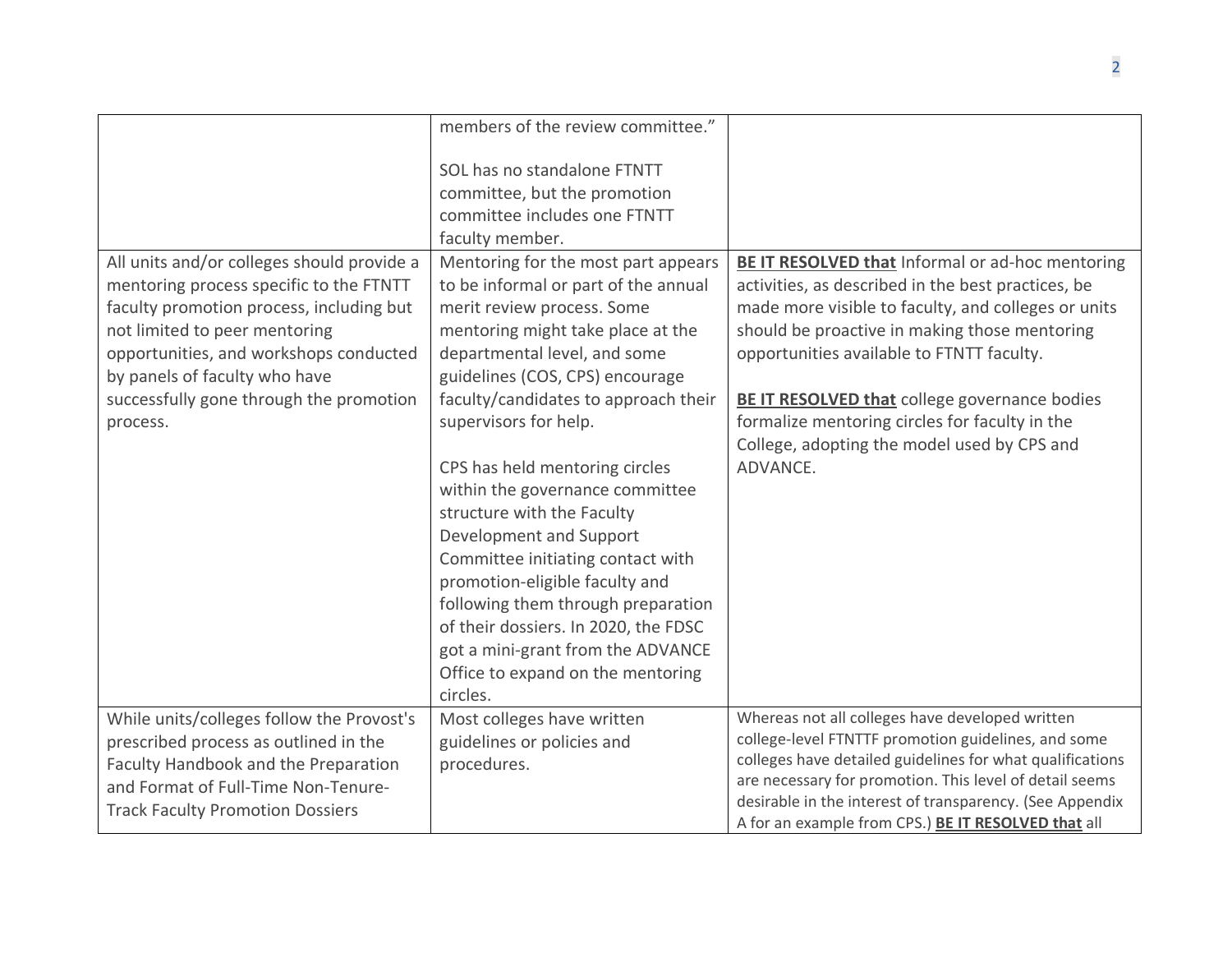|                                                                                                                                                                                                                                                                                                      | members of the review committee."                                                                                                                                                                                                                                                                                                                                                                                                                                                                                                                                                                          |                                                                                                                                                                                                                                                                                                                                                                                                                                  |
|------------------------------------------------------------------------------------------------------------------------------------------------------------------------------------------------------------------------------------------------------------------------------------------------------|------------------------------------------------------------------------------------------------------------------------------------------------------------------------------------------------------------------------------------------------------------------------------------------------------------------------------------------------------------------------------------------------------------------------------------------------------------------------------------------------------------------------------------------------------------------------------------------------------------|----------------------------------------------------------------------------------------------------------------------------------------------------------------------------------------------------------------------------------------------------------------------------------------------------------------------------------------------------------------------------------------------------------------------------------|
|                                                                                                                                                                                                                                                                                                      | SOL has no standalone FTNTT<br>committee, but the promotion<br>committee includes one FTNTT<br>faculty member.                                                                                                                                                                                                                                                                                                                                                                                                                                                                                             |                                                                                                                                                                                                                                                                                                                                                                                                                                  |
| All units and/or colleges should provide a<br>mentoring process specific to the FTNTT<br>faculty promotion process, including but<br>not limited to peer mentoring<br>opportunities, and workshops conducted<br>by panels of faculty who have<br>successfully gone through the promotion<br>process. | Mentoring for the most part appears<br>to be informal or part of the annual<br>merit review process. Some<br>mentoring might take place at the<br>departmental level, and some<br>guidelines (COS, CPS) encourage<br>faculty/candidates to approach their<br>supervisors for help.<br>CPS has held mentoring circles<br>within the governance committee<br>structure with the Faculty<br>Development and Support<br>Committee initiating contact with<br>promotion-eligible faculty and<br>following them through preparation<br>of their dossiers. In 2020, the FDSC<br>got a mini-grant from the ADVANCE | <b>BE IT RESOLVED that Informal or ad-hoc mentoring</b><br>activities, as described in the best practices, be<br>made more visible to faculty, and colleges or units<br>should be proactive in making those mentoring<br>opportunities available to FTNTT faculty.<br>BE IT RESOLVED that college governance bodies<br>formalize mentoring circles for faculty in the<br>College, adopting the model used by CPS and<br>ADVANCE. |
|                                                                                                                                                                                                                                                                                                      | Office to expand on the mentoring<br>circles.                                                                                                                                                                                                                                                                                                                                                                                                                                                                                                                                                              |                                                                                                                                                                                                                                                                                                                                                                                                                                  |
| While units/colleges follow the Provost's<br>prescribed process as outlined in the<br>Faculty Handbook and the Preparation<br>and Format of Full-Time Non-Tenure-<br><b>Track Faculty Promotion Dossiers</b>                                                                                         | Most colleges have written<br>guidelines or policies and<br>procedures.                                                                                                                                                                                                                                                                                                                                                                                                                                                                                                                                    | Whereas not all colleges have developed written<br>college-level FTNTTF promotion guidelines, and some<br>colleges have detailed guidelines for what qualifications<br>are necessary for promotion. This level of detail seems<br>desirable in the interest of transparency. (See Appendix<br>A for an example from CPS.) BE IT RESOLVED that all                                                                                |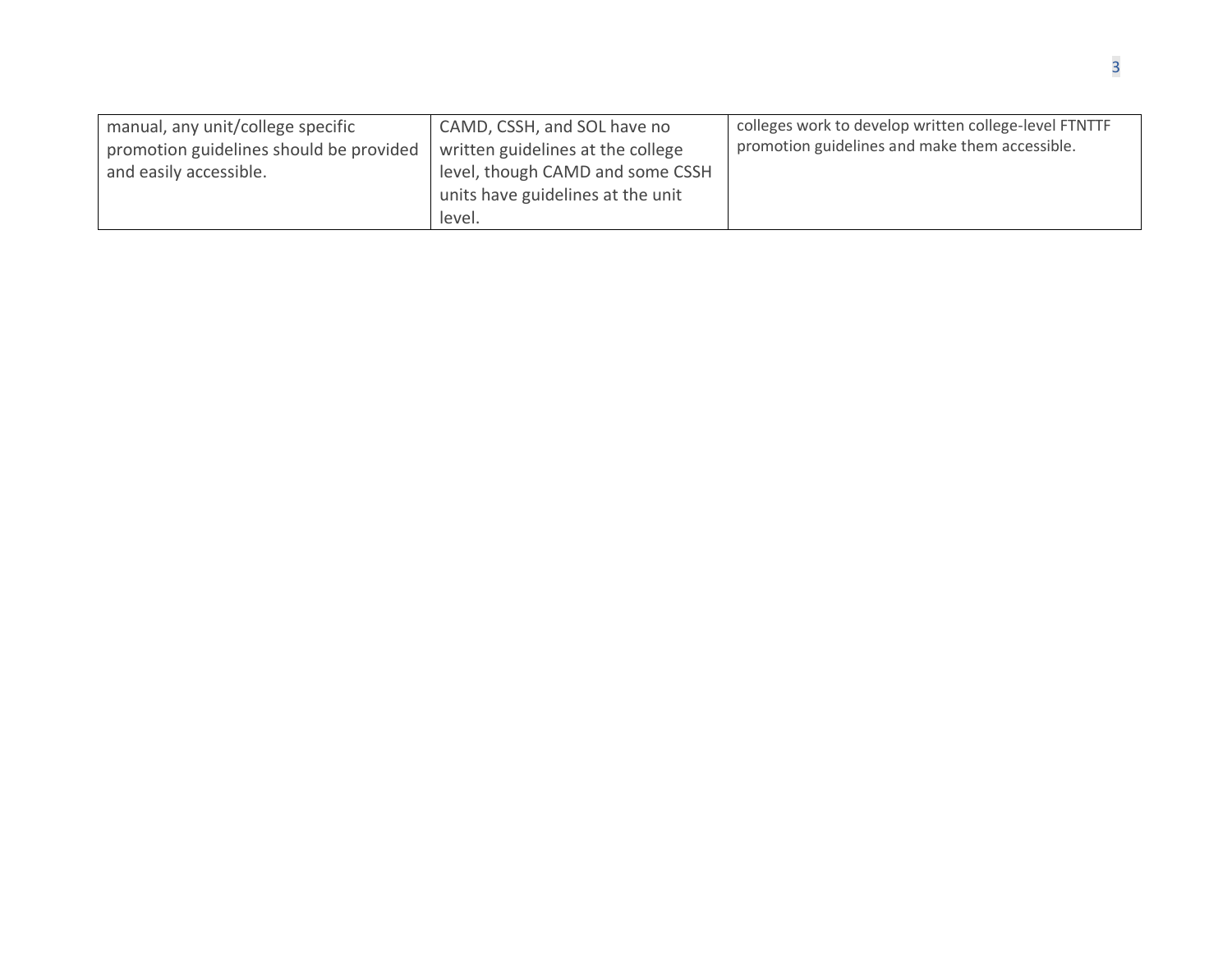| manual, any unit/college specific<br>promotion guidelines should be provided<br>and easily accessible. | CAMD, CSSH, and SOL have no<br>written guidelines at the college<br>level, though CAMD and some CSSH<br>units have guidelines at the unit<br>level. | colleges work to develop written college-level FTNTTF<br>promotion guidelines and make them accessible. |
|--------------------------------------------------------------------------------------------------------|-----------------------------------------------------------------------------------------------------------------------------------------------------|---------------------------------------------------------------------------------------------------------|
|--------------------------------------------------------------------------------------------------------|-----------------------------------------------------------------------------------------------------------------------------------------------------|---------------------------------------------------------------------------------------------------------|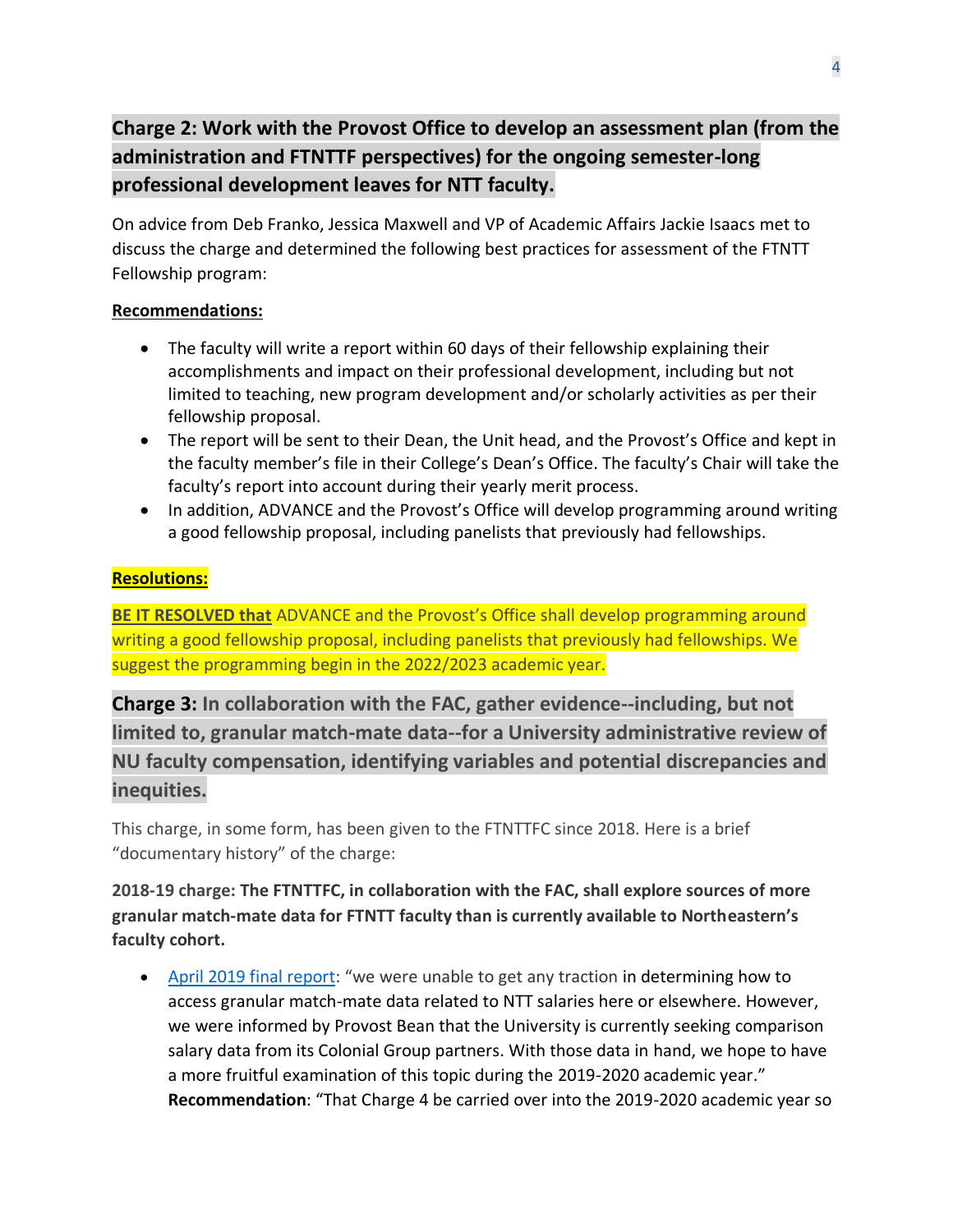## **Charge 2: Work with the Provost Office to develop an assessment plan (from the administration and FTNTTF perspectives) for the ongoing semester-long professional development leaves for NTT faculty.**

On advice from Deb Franko, Jessica Maxwell and VP of Academic Affairs Jackie Isaacs met to discuss the charge and determined the following best practices for assessment of the FTNTT Fellowship program:

## **Recommendations:**

- The faculty will write a report within 60 days of their fellowship explaining their accomplishments and impact on their professional development, including but not limited to teaching, new program development and/or scholarly activities as per their fellowship proposal.
- The report will be sent to their Dean, the Unit head, and the Provost's Office and kept in the faculty member's file in their College's Dean's Office. The faculty's Chair will take the faculty's report into account during their yearly merit process.
- In addition, ADVANCE and the Provost's Office will develop programming around writing a good fellowship proposal, including panelists that previously had fellowships.

## **Resolutions:**

**BE IT RESOLVED that** ADVANCE and the Provost's Office shall develop programming around writing a good fellowship proposal, including panelists that previously had fellowships. We suggest the programming begin in the 2022/2023 academic year.

**Charge 3: In collaboration with the FAC, gather evidence--including, but not limited to, granular match-mate data--for a University administrative review of NU faculty compensation, identifying variables and potential discrepancies and inequities.**

This charge, in some form, has been given to the FTNTTFC since 2018. Here is a brief "documentary history" of the charge:

**2018-19 charge: The FTNTTFC, in collaboration with the FAC, shall explore sources of more granular match-mate data for FTNTT faculty than is currently available to Northeastern's faculty cohort.** 

• [April 2019 final report](https://faculty.northeastern.edu/app/uploads/sites/2/2019/04/FT-NTTFC-2018-2019-FINAL-v2.pdf): "we were unable to get any traction in determining how to access granular match-mate data related to NTT salaries here or elsewhere. However, we were informed by Provost Bean that the University is currently seeking comparison salary data from its Colonial Group partners. With those data in hand, we hope to have a more fruitful examination of this topic during the 2019-2020 academic year." **Recommendation**: "That Charge 4 be carried over into the 2019-2020 academic year so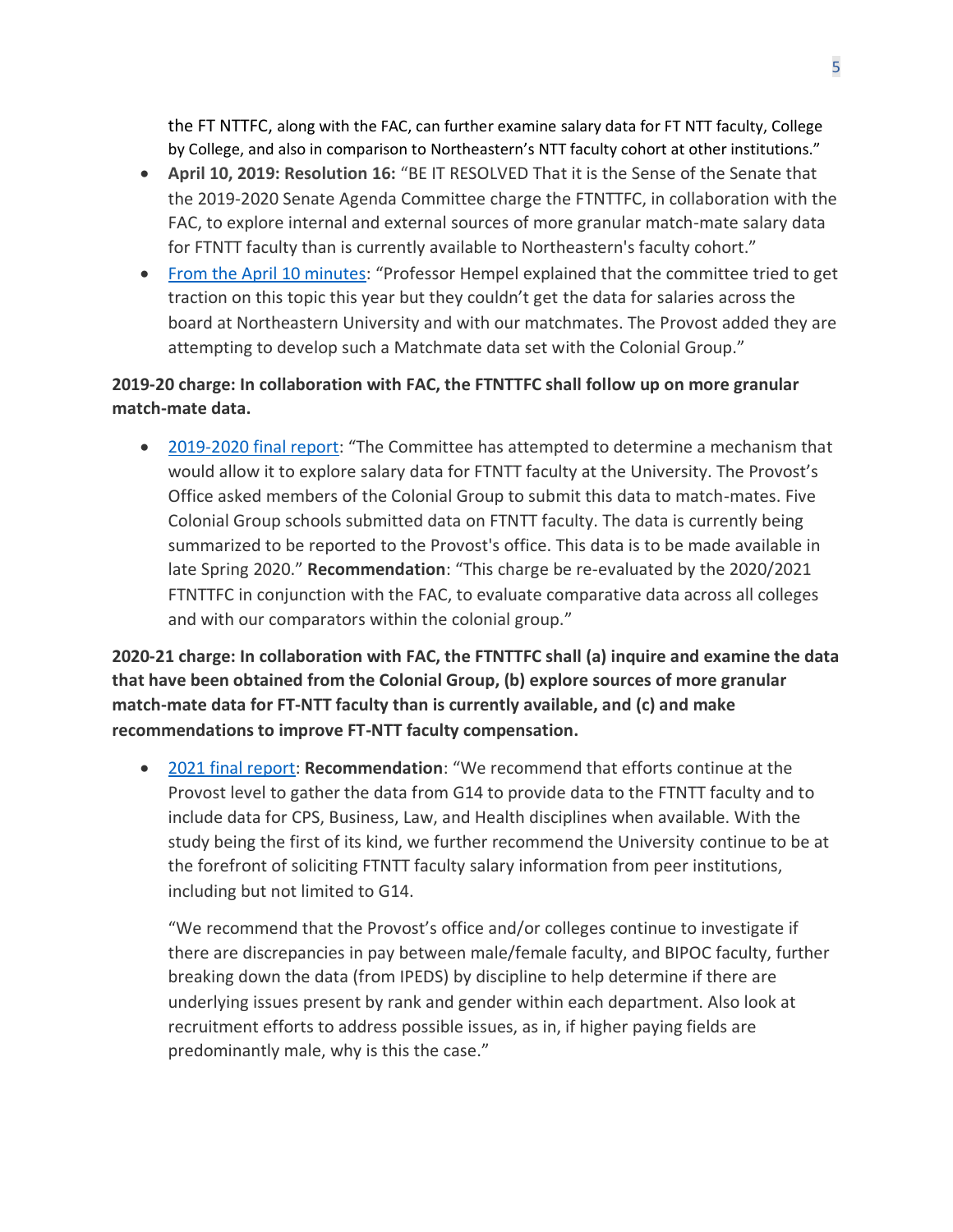the FT NTTFC, along with the FAC, can further examine salary data for FT NTT faculty, College by College, and also in comparison to Northeastern's NTT faculty cohort at other institutions."

- **April 10, 2019: Resolution 16:** "BE IT RESOLVED That it is the Sense of the Senate that the 2019-2020 Senate Agenda Committee charge the FTNTTFC, in collaboration with the FAC, to explore internal and external sources of more granular match-mate salary data for FTNTT faculty than is currently available to Northeastern's faculty cohort."
- [From the April 10 minutes](https://faculty.northeastern.edu/app/uploads/sites/2/2019/05/4.10.19-FacSenate-Minutes..pdf): "Professor Hempel explained that the committee tried to get traction on this topic this year but they couldn't get the data for salaries across the board at Northeastern University and with our matchmates. The Provost added they are attempting to develop such a Matchmate data set with the Colonial Group."

## **2019-20 charge: In collaboration with FAC, the FTNTTFC shall follow up on more granular match-mate data.**

• [2019-2020 final report](https://faculty.northeastern.edu/app/uploads/sites/2/2020/08/FTNTTFC_Final-Report.pdf): "The Committee has attempted to determine a mechanism that would allow it to explore salary data for FTNTT faculty at the University. The Provost's Office asked members of the Colonial Group to submit this data to match-mates. Five Colonial Group schools submitted data on FTNTT faculty. The data is currently being summarized to be reported to the Provost's office. This data is to be made available in late Spring 2020." **Recommendation**: "This charge be re-evaluated by the 2020/2021 FTNTTFC in conjunction with the FAC, to evaluate comparative data across all colleges and with our comparators within the colonial group."

**2020-21 charge: In collaboration with FAC, the FTNTTFC shall (a) inquire and examine the data that have been obtained from the Colonial Group, (b) explore sources of more granular match-mate data for FT-NTT faculty than is currently available, and (c) and make recommendations to improve FT-NTT faculty compensation.**

• [2021 final report:](https://faculty.northeastern.edu/app/uploads/sites/2/2021/09/FTNTT_Report_Revised.pdf) **Recommendation**: "We recommend that efforts continue at the Provost level to gather the data from G14 to provide data to the FTNTT faculty and to include data for CPS, Business, Law, and Health disciplines when available. With the study being the first of its kind, we further recommend the University continue to be at the forefront of soliciting FTNTT faculty salary information from peer institutions, including but not limited to G14.

"We recommend that the Provost's office and/or colleges continue to investigate if there are discrepancies in pay between male/female faculty, and BIPOC faculty, further breaking down the data (from IPEDS) by discipline to help determine if there are underlying issues present by rank and gender within each department. Also look at recruitment efforts to address possible issues, as in, if higher paying fields are predominantly male, why is this the case."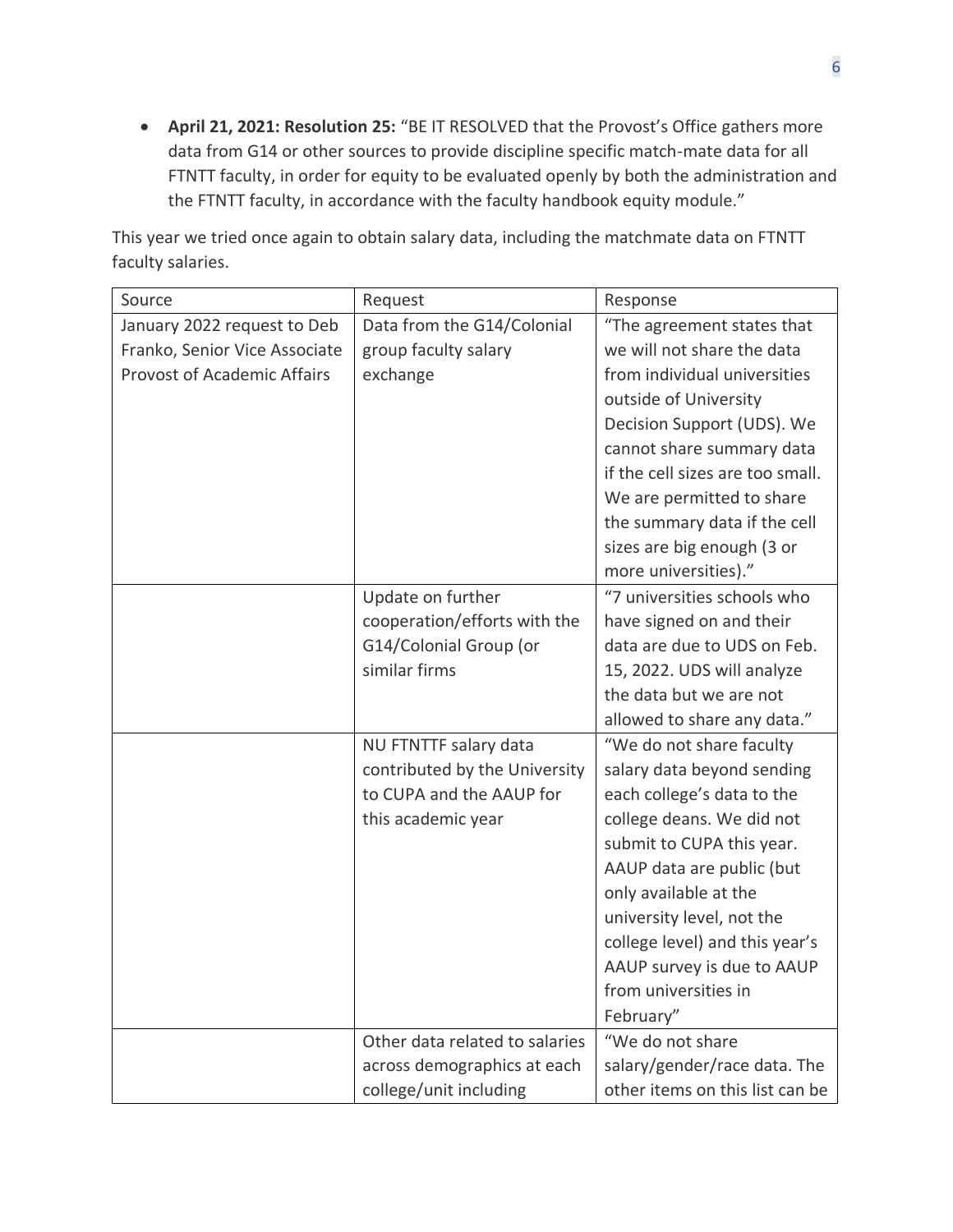• **April 21, 2021: Resolution 25:** "BE IT RESOLVED that the Provost's Office gathers more data from G14 or other sources to provide discipline specific match-mate data for all FTNTT faculty, in order for equity to be evaluated openly by both the administration and the FTNTT faculty, in accordance with the faculty handbook equity module."

This year we tried once again to obtain salary data, including the matchmate data on FTNTT faculty salaries.

| Source                             | Request                        | Response                         |
|------------------------------------|--------------------------------|----------------------------------|
| January 2022 request to Deb        | Data from the G14/Colonial     | "The agreement states that       |
| Franko, Senior Vice Associate      | group faculty salary           | we will not share the data       |
| <b>Provost of Academic Affairs</b> | exchange                       | from individual universities     |
|                                    |                                | outside of University            |
|                                    |                                | Decision Support (UDS). We       |
|                                    |                                | cannot share summary data        |
|                                    |                                | if the cell sizes are too small. |
|                                    |                                | We are permitted to share        |
|                                    |                                | the summary data if the cell     |
|                                    |                                | sizes are big enough (3 or       |
|                                    |                                | more universities)."             |
|                                    | Update on further              | "7 universities schools who      |
|                                    | cooperation/efforts with the   | have signed on and their         |
|                                    | G14/Colonial Group (or         | data are due to UDS on Feb.      |
|                                    | similar firms                  | 15, 2022. UDS will analyze       |
|                                    |                                | the data but we are not          |
|                                    |                                | allowed to share any data."      |
|                                    | NU FTNTTF salary data          | "We do not share faculty         |
|                                    | contributed by the University  | salary data beyond sending       |
|                                    | to CUPA and the AAUP for       | each college's data to the       |
|                                    | this academic year             | college deans. We did not        |
|                                    |                                | submit to CUPA this year.        |
|                                    |                                | AAUP data are public (but        |
|                                    |                                | only available at the            |
|                                    |                                | university level, not the        |
|                                    |                                | college level) and this year's   |
|                                    |                                | AAUP survey is due to AAUP       |
|                                    |                                | from universities in             |
|                                    |                                | February"                        |
|                                    | Other data related to salaries | "We do not share                 |
|                                    | across demographics at each    | salary/gender/race data. The     |
|                                    | college/unit including         | other items on this list can be  |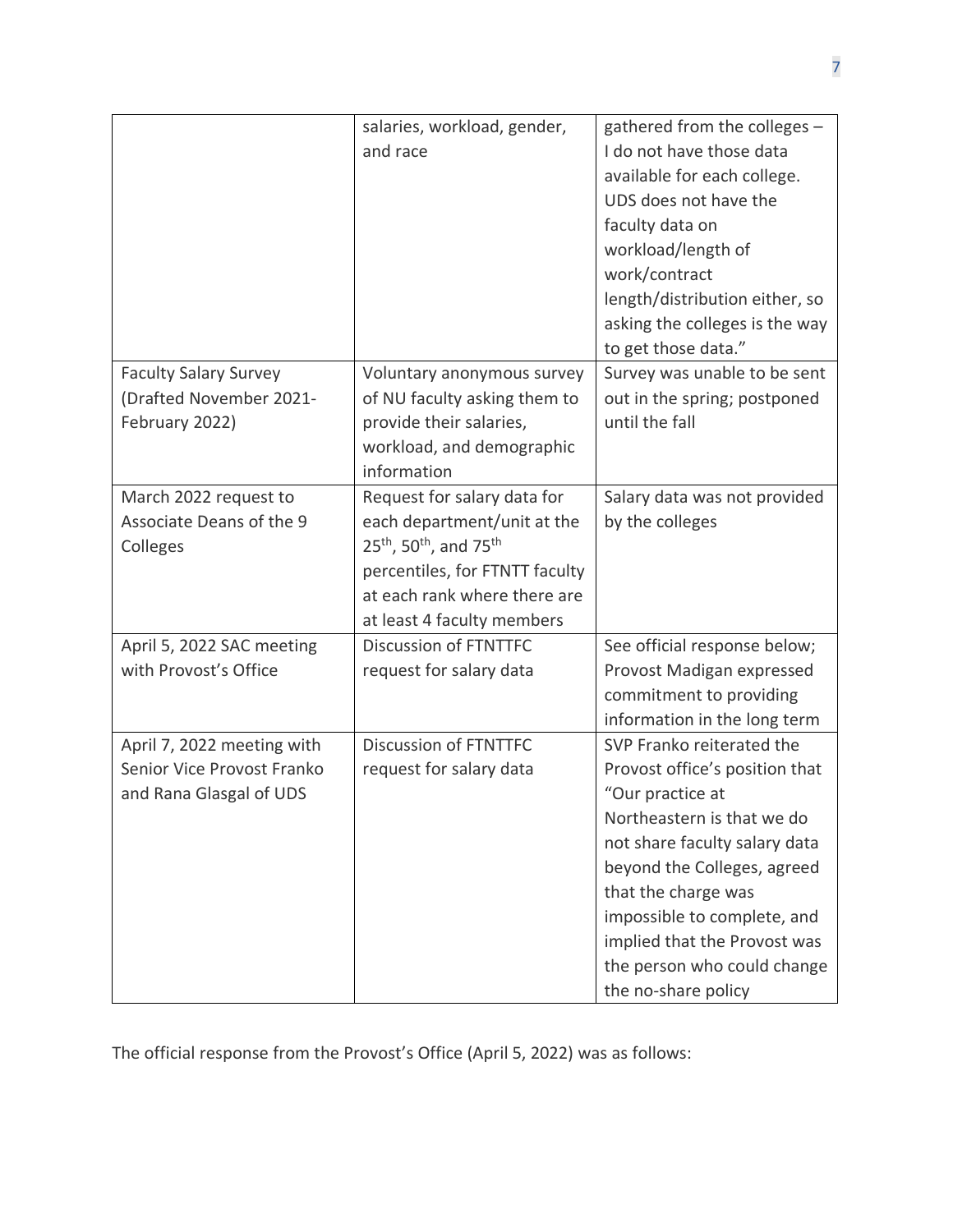|                              | salaries, workload, gender,                                | gathered from the colleges -   |
|------------------------------|------------------------------------------------------------|--------------------------------|
|                              | and race                                                   | I do not have those data       |
|                              |                                                            | available for each college.    |
|                              |                                                            | UDS does not have the          |
|                              |                                                            | faculty data on                |
|                              |                                                            | workload/length of             |
|                              |                                                            | work/contract                  |
|                              |                                                            | length/distribution either, so |
|                              |                                                            | asking the colleges is the way |
|                              |                                                            | to get those data."            |
| <b>Faculty Salary Survey</b> | Voluntary anonymous survey                                 | Survey was unable to be sent   |
| (Drafted November 2021-      | of NU faculty asking them to                               | out in the spring; postponed   |
| February 2022)               | provide their salaries,                                    | until the fall                 |
|                              | workload, and demographic                                  |                                |
|                              | information                                                |                                |
| March 2022 request to        | Request for salary data for                                | Salary data was not provided   |
| Associate Deans of the 9     | each department/unit at the                                | by the colleges                |
| Colleges                     | 25 <sup>th</sup> , 50 <sup>th</sup> , and 75 <sup>th</sup> |                                |
|                              | percentiles, for FTNTT faculty                             |                                |
|                              | at each rank where there are                               |                                |
|                              | at least 4 faculty members                                 |                                |
| April 5, 2022 SAC meeting    | Discussion of FTNTTFC                                      | See official response below;   |
| with Provost's Office        | request for salary data                                    | Provost Madigan expressed      |
|                              |                                                            | commitment to providing        |
|                              |                                                            | information in the long term   |
| April 7, 2022 meeting with   | Discussion of FTNTTFC                                      | SVP Franko reiterated the      |
| Senior Vice Provost Franko   | request for salary data                                    | Provost office's position that |
| and Rana Glasgal of UDS      |                                                            | "Our practice at               |
|                              |                                                            | Northeastern is that we do     |
|                              |                                                            | not share faculty salary data  |
|                              |                                                            | beyond the Colleges, agreed    |
|                              |                                                            | that the charge was            |
|                              |                                                            | impossible to complete, and    |
|                              |                                                            | implied that the Provost was   |
|                              |                                                            | the person who could change    |
|                              |                                                            | the no-share policy            |

The official response from the Provost's Office (April 5, 2022) was as follows: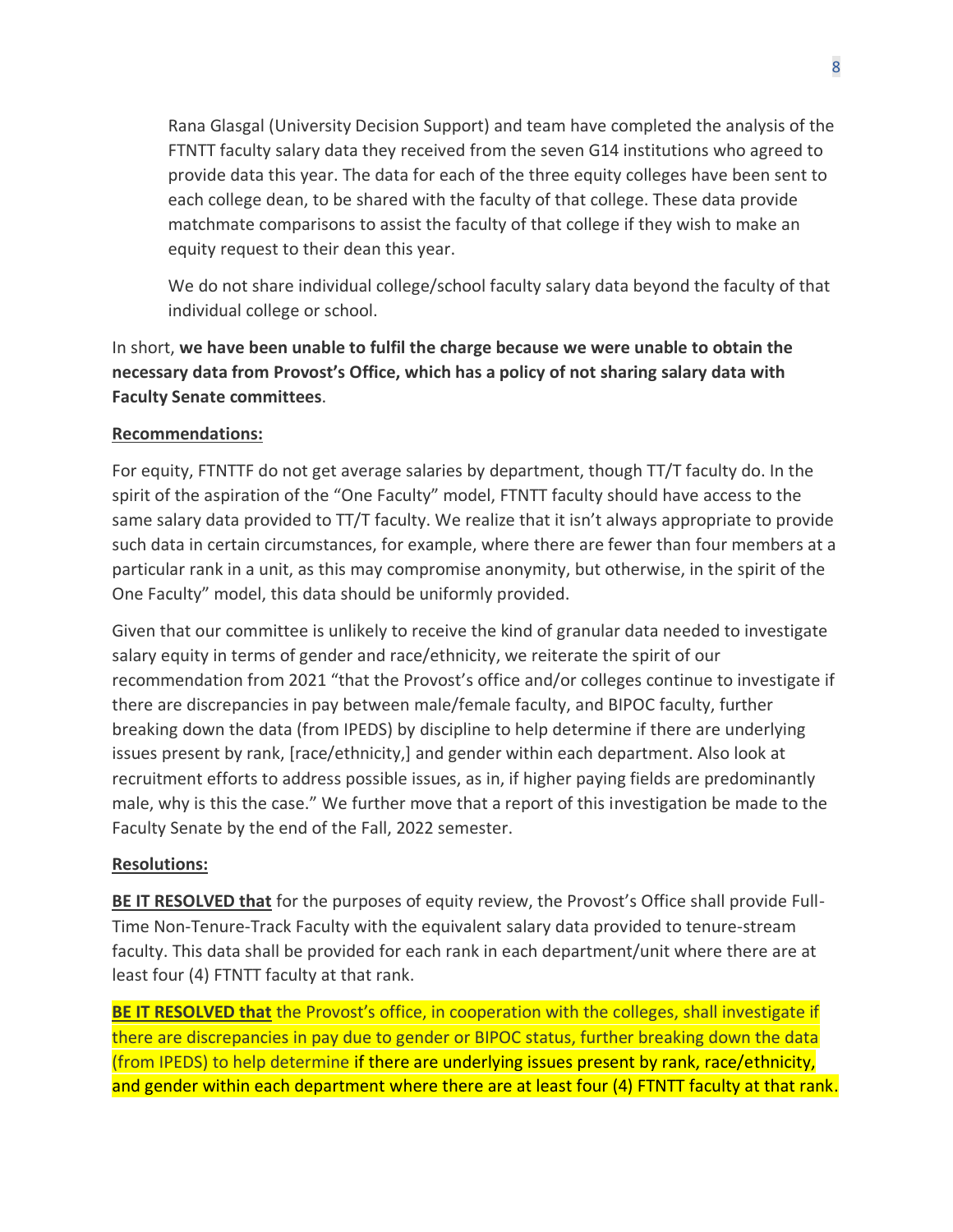Rana Glasgal (University Decision Support) and team have completed the analysis of the FTNTT faculty salary data they received from the seven G14 institutions who agreed to provide data this year. The data for each of the three equity colleges have been sent to each college dean, to be shared with the faculty of that college. These data provide matchmate comparisons to assist the faculty of that college if they wish to make an equity request to their dean this year.

We do not share individual college/school faculty salary data beyond the faculty of that individual college or school.

In short, **we have been unable to fulfil the charge because we were unable to obtain the necessary data from Provost's Office, which has a policy of not sharing salary data with Faculty Senate committees**.

#### **Recommendations:**

For equity, FTNTTF do not get average salaries by department, though TT/T faculty do. In the spirit of the aspiration of the "One Faculty" model, FTNTT faculty should have access to the same salary data provided to TT/T faculty. We realize that it isn't always appropriate to provide such data in certain circumstances, for example, where there are fewer than four members at a particular rank in a unit, as this may compromise anonymity, but otherwise, in the spirit of the One Faculty" model, this data should be uniformly provided.

Given that our committee is unlikely to receive the kind of granular data needed to investigate salary equity in terms of gender and race/ethnicity, we reiterate the spirit of our recommendation from 2021 "that the Provost's office and/or colleges continue to investigate if there are discrepancies in pay between male/female faculty, and BIPOC faculty, further breaking down the data (from IPEDS) by discipline to help determine if there are underlying issues present by rank, [race/ethnicity,] and gender within each department. Also look at recruitment efforts to address possible issues, as in, if higher paying fields are predominantly male, why is this the case." We further move that a report of this investigation be made to the Faculty Senate by the end of the Fall, 2022 semester.

#### **Resolutions:**

**BE IT RESOLVED that** for the purposes of equity review, the Provost's Office shall provide Full-Time Non-Tenure-Track Faculty with the equivalent salary data provided to tenure-stream faculty. This data shall be provided for each rank in each department/unit where there are at least four (4) FTNTT faculty at that rank.

**BE IT RESOLVED that** the Provost's office, in cooperation with the colleges, shall investigate if there are discrepancies in pay due to gender or BIPOC status, further breaking down the data (from IPEDS) to help determine if there are underlying issues present by rank, race/ethnicity, and gender within each department where there are at least four (4) FTNTT faculty at that rank.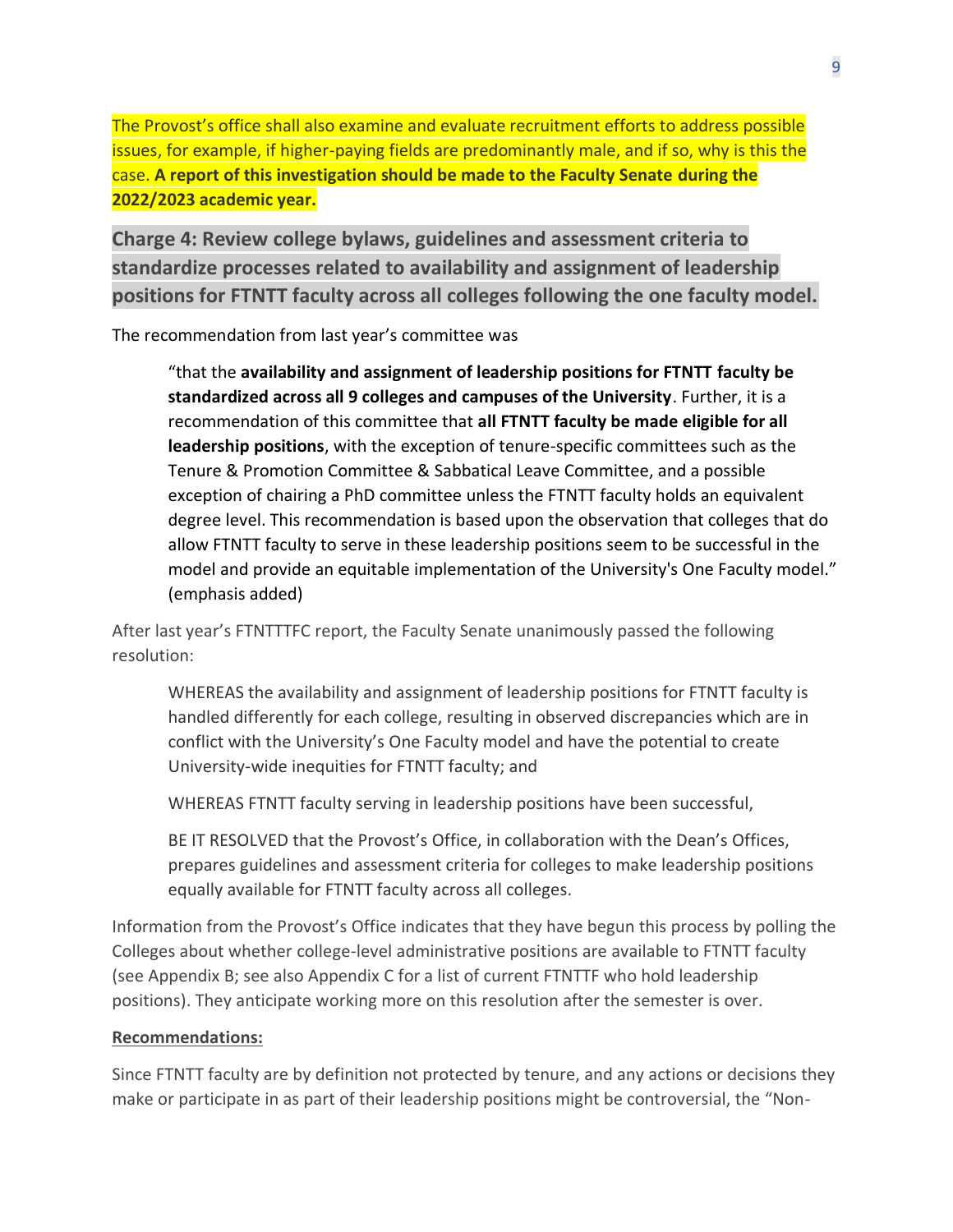The Provost's office shall also examine and evaluate recruitment efforts to address possible issues, for example, if higher-paying fields are predominantly male, and if so, why is this the case. **A report of this investigation should be made to the Faculty Senate during the 2022/2023 academic year.** 

**Charge 4: Review college bylaws, guidelines and assessment criteria to standardize processes related to availability and assignment of leadership positions for FTNTT faculty across all colleges following the one faculty model.**

The recommendation from last year's committee was

"that the **availability and assignment of leadership positions for FTNTT faculty be standardized across all 9 colleges and campuses of the University**. Further, it is a recommendation of this committee that **all FTNTT faculty be made eligible for all leadership positions**, with the exception of tenure-specific committees such as the Tenure & Promotion Committee & Sabbatical Leave Committee, and a possible exception of chairing a PhD committee unless the FTNTT faculty holds an equivalent degree level. This recommendation is based upon the observation that colleges that do allow FTNTT faculty to serve in these leadership positions seem to be successful in the model and provide an equitable implementation of the University's One Faculty model." (emphasis added)

After last year's FTNTTTFC report, the Faculty Senate unanimously passed the following resolution:

WHEREAS the availability and assignment of leadership positions for FTNTT faculty is handled differently for each college, resulting in observed discrepancies which are in conflict with the University's One Faculty model and have the potential to create University-wide inequities for FTNTT faculty; and

WHEREAS FTNTT faculty serving in leadership positions have been successful,

BE IT RESOLVED that the Provost's Office, in collaboration with the Dean's Offices, prepares guidelines and assessment criteria for colleges to make leadership positions equally available for FTNTT faculty across all colleges.

Information from the Provost's Office indicates that they have begun this process by polling the Colleges about whether college-level administrative positions are available to FTNTT faculty (see Appendix B; see also Appendix C for a list of current FTNTTF who hold leadership positions). They anticipate working more on this resolution after the semester is over.

#### **Recommendations:**

Since FTNTT faculty are by definition not protected by tenure, and any actions or decisions they make or participate in as part of their leadership positions might be controversial, the "Non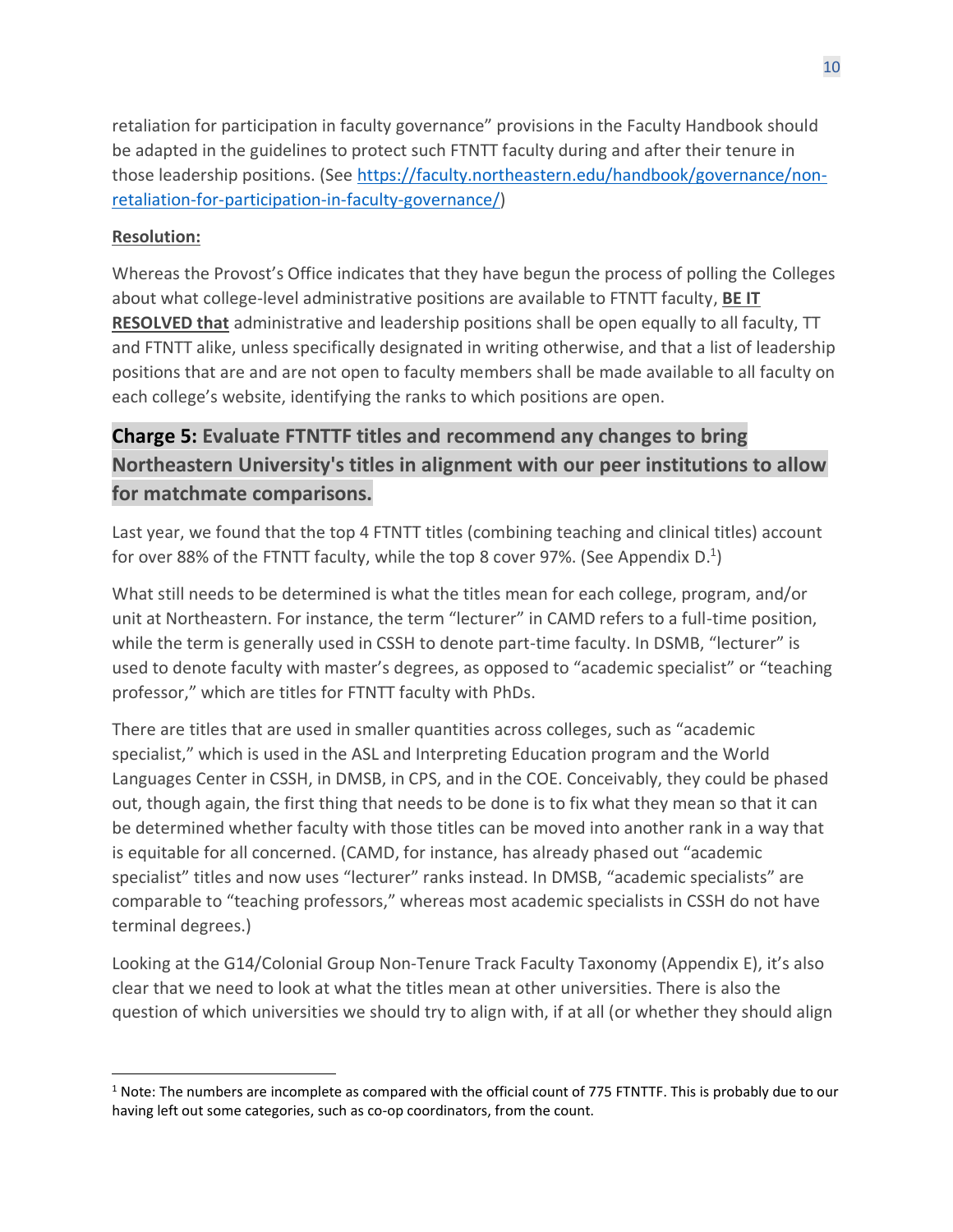retaliation for participation in faculty governance" provisions in the Faculty Handbook should be adapted in the guidelines to protect such FTNTT faculty during and after their tenure in those leadership positions. (See [https://faculty.northeastern.edu/handbook/governance/non](https://faculty.northeastern.edu/handbook/governance/non-retaliation-for-participation-in-faculty-governance/)[retaliation-for-participation-in-faculty-governance/\)](https://faculty.northeastern.edu/handbook/governance/non-retaliation-for-participation-in-faculty-governance/)

#### **Resolution:**

Whereas the Provost's Office indicates that they have begun the process of polling the Colleges about what college-level administrative positions are available to FTNTT faculty, **BE IT RESOLVED that** administrative and leadership positions shall be open equally to all faculty, TT and FTNTT alike, unless specifically designated in writing otherwise, and that a list of leadership positions that are and are not open to faculty members shall be made available to all faculty on each college's website, identifying the ranks to which positions are open.

## **Charge 5: Evaluate FTNTTF titles and recommend any changes to bring Northeastern University's titles in alignment with our peer institutions to allow for matchmate comparisons.**

Last year, we found that the top 4 FTNTT titles (combining teaching and clinical titles) account for over 88% of the FTNTT faculty, while the top 8 cover 97%. (See Appendix D.<sup>1</sup>)

What still needs to be determined is what the titles mean for each college, program, and/or unit at Northeastern. For instance, the term "lecturer" in CAMD refers to a full-time position, while the term is generally used in CSSH to denote part-time faculty. In DSMB, "lecturer" is used to denote faculty with master's degrees, as opposed to "academic specialist" or "teaching professor," which are titles for FTNTT faculty with PhDs.

There are titles that are used in smaller quantities across colleges, such as "academic specialist," which is used in the ASL and Interpreting Education program and the World Languages Center in CSSH, in DMSB, in CPS, and in the COE. Conceivably, they could be phased out, though again, the first thing that needs to be done is to fix what they mean so that it can be determined whether faculty with those titles can be moved into another rank in a way that is equitable for all concerned. (CAMD, for instance, has already phased out "academic specialist" titles and now uses "lecturer" ranks instead. In DMSB, "academic specialists" are comparable to "teaching professors," whereas most academic specialists in CSSH do not have terminal degrees.)

Looking at the G14/Colonial Group Non-Tenure Track Faculty Taxonomy (Appendix E), it's also clear that we need to look at what the titles mean at other universities. There is also the question of which universities we should try to align with, if at all (or whether they should align

 $1$  Note: The numbers are incomplete as compared with the official count of 775 FTNTTF. This is probably due to our having left out some categories, such as co-op coordinators, from the count.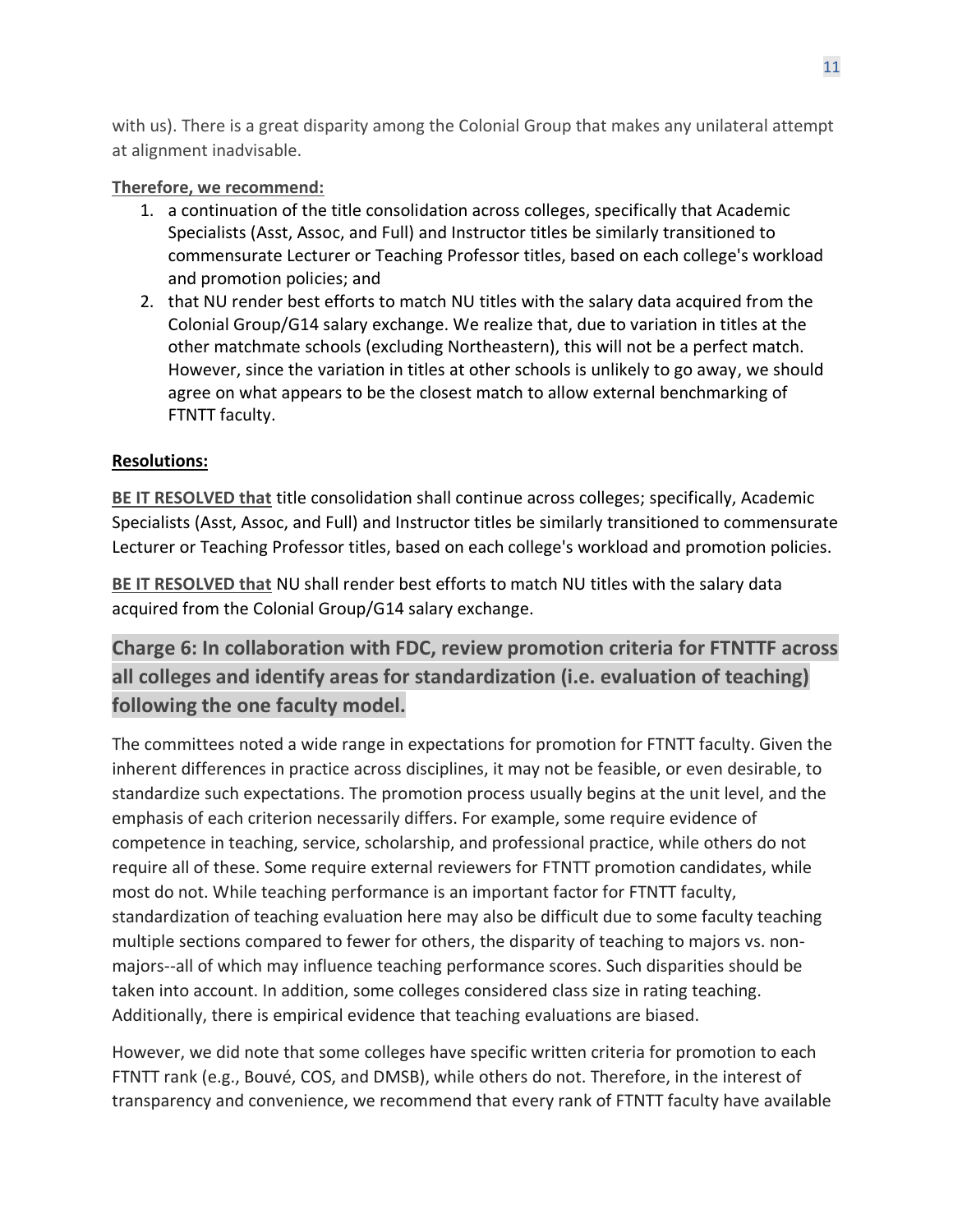with us). There is a great disparity among the Colonial Group that makes any unilateral attempt at alignment inadvisable.

#### **Therefore, we recommend:**

- 1. a continuation of the title consolidation across colleges, specifically that Academic Specialists (Asst, Assoc, and Full) and Instructor titles be similarly transitioned to commensurate Lecturer or Teaching Professor titles, based on each college's workload and promotion policies; and
- 2. that NU render best efforts to match NU titles with the salary data acquired from the Colonial Group/G14 salary exchange. We realize that, due to variation in titles at the other matchmate schools (excluding Northeastern), this will not be a perfect match. However, since the variation in titles at other schools is unlikely to go away, we should agree on what appears to be the closest match to allow external benchmarking of FTNTT faculty.

#### **Resolutions:**

**BE IT RESOLVED that** title consolidation shall continue across colleges; specifically, Academic Specialists (Asst, Assoc, and Full) and Instructor titles be similarly transitioned to commensurate Lecturer or Teaching Professor titles, based on each college's workload and promotion policies.

**BE IT RESOLVED that** NU shall render best efforts to match NU titles with the salary data acquired from the Colonial Group/G14 salary exchange.

**Charge 6: In collaboration with FDC, review promotion criteria for FTNTTF across all colleges and identify areas for standardization (i.e. evaluation of teaching) following the one faculty model.**

The committees noted a wide range in expectations for promotion for FTNTT faculty. Given the inherent differences in practice across disciplines, it may not be feasible, or even desirable, to standardize such expectations. The promotion process usually begins at the unit level, and the emphasis of each criterion necessarily differs. For example, some require evidence of competence in teaching, service, scholarship, and professional practice, while others do not require all of these. Some require external reviewers for FTNTT promotion candidates, while most do not. While teaching performance is an important factor for FTNTT faculty, standardization of teaching evaluation here may also be difficult due to some faculty teaching multiple sections compared to fewer for others, the disparity of teaching to majors vs. nonmajors--all of which may influence teaching performance scores. Such disparities should be taken into account. In addition, some colleges considered class size in rating teaching. Additionally, there is empirical evidence that teaching evaluations are biased.

However, we did note that some colleges have specific written criteria for promotion to each FTNTT rank (e.g., Bouvé, COS, and DMSB), while others do not. Therefore, in the interest of transparency and convenience, we recommend that every rank of FTNTT faculty have available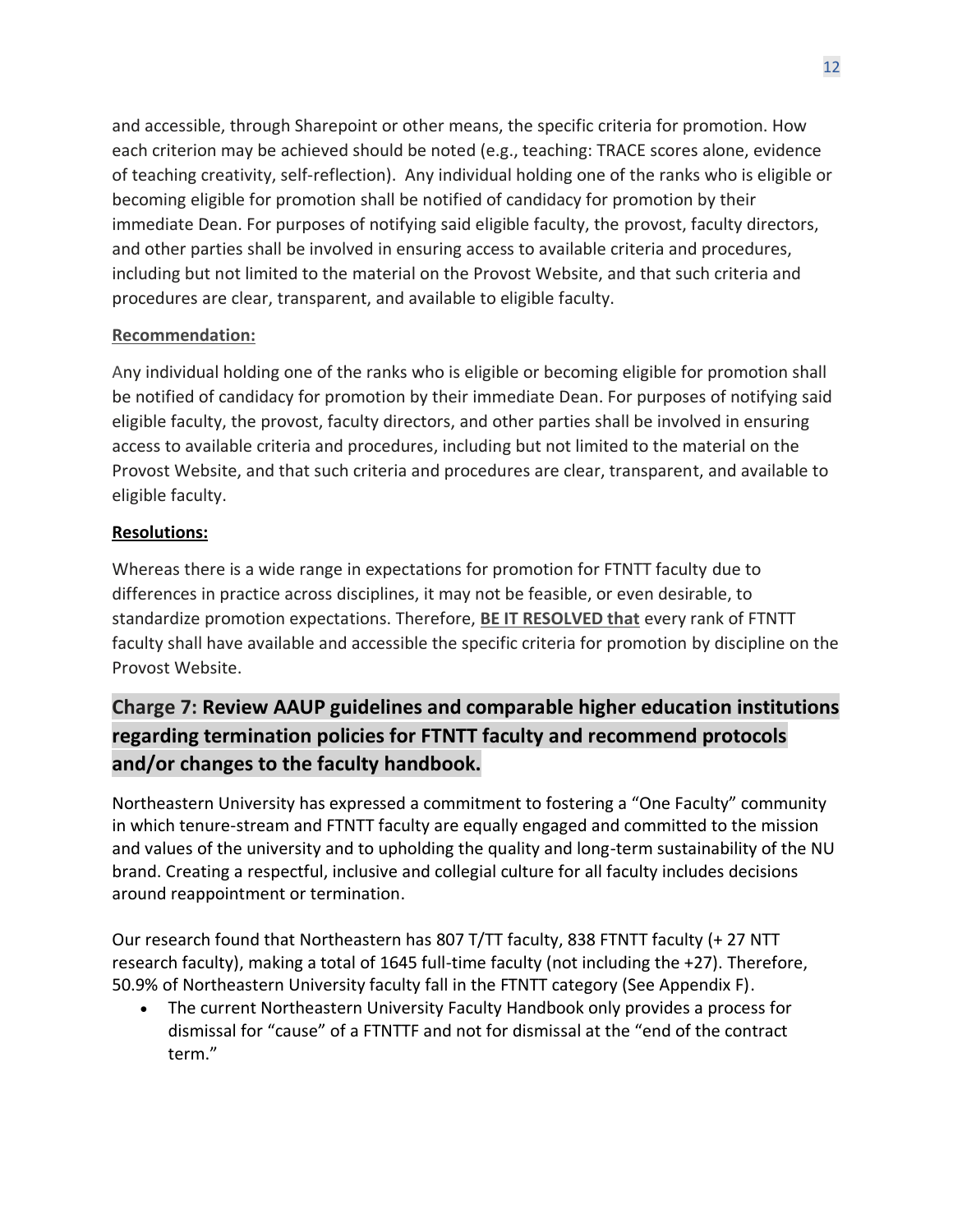and accessible, through Sharepoint or other means, the specific criteria for promotion. How each criterion may be achieved should be noted (e.g., teaching: TRACE scores alone, evidence of teaching creativity, self-reflection). Any individual holding one of the ranks who is eligible or becoming eligible for promotion shall be notified of candidacy for promotion by their immediate Dean. For purposes of notifying said eligible faculty, the provost, faculty directors, and other parties shall be involved in ensuring access to available criteria and procedures, including but not limited to the material on the Provost Website, and that such criteria and procedures are clear, transparent, and available to eligible faculty.

### **Recommendation:**

Any individual holding one of the ranks who is eligible or becoming eligible for promotion shall be notified of candidacy for promotion by their immediate Dean. For purposes of notifying said eligible faculty, the provost, faculty directors, and other parties shall be involved in ensuring access to available criteria and procedures, including but not limited to the material on the Provost Website, and that such criteria and procedures are clear, transparent, and available to eligible faculty.

### **Resolutions:**

Whereas there is a wide range in expectations for promotion for FTNTT faculty due to differences in practice across disciplines, it may not be feasible, or even desirable, to standardize promotion expectations. Therefore, **BE IT RESOLVED that** every rank of FTNTT faculty shall have available and accessible the specific criteria for promotion by discipline on the Provost Website.

## **Charge 7: Review AAUP guidelines and comparable higher education institutions regarding termination policies for FTNTT faculty and recommend protocols and/or changes to the faculty handbook.**

Northeastern University has expressed a commitment to fostering a "One Faculty" community in which tenure-stream and FTNTT faculty are equally engaged and committed to the mission and values of the university and to upholding the quality and long-term sustainability of the NU brand. Creating a respectful, inclusive and collegial culture for all faculty includes decisions around reappointment or termination.

Our research found that Northeastern has 807 T/TT faculty, 838 FTNTT faculty (+ 27 NTT research faculty), making a total of 1645 full-time faculty (not including the +27). Therefore, 50.9% of Northeastern University faculty fall in the FTNTT category (See Appendix F).

• The current Northeastern University Faculty Handbook only provides a process for dismissal for "cause" of a FTNTTF and not for dismissal at the "end of the contract term."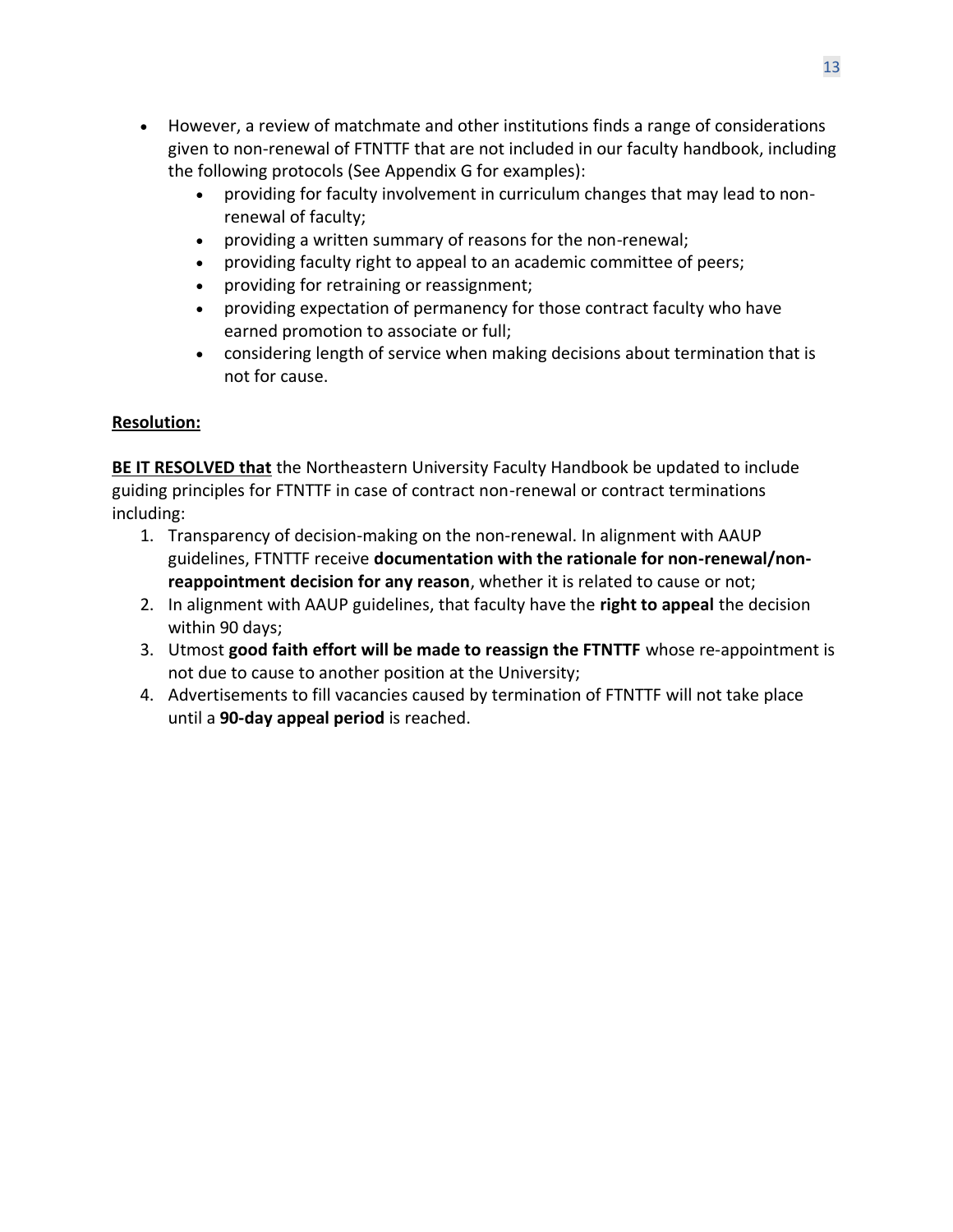- However, a review of matchmate and other institutions finds a range of considerations given to non-renewal of FTNTTF that are not included in our faculty handbook, including the following protocols (See Appendix G for examples):
	- providing for faculty involvement in curriculum changes that may lead to nonrenewal of faculty;
	- providing a written summary of reasons for the non-renewal;
	- providing faculty right to appeal to an academic committee of peers;
	- providing for retraining or reassignment;
	- providing expectation of permanency for those contract faculty who have earned promotion to associate or full;
	- considering length of service when making decisions about termination that is not for cause.

## **Resolution:**

**BE IT RESOLVED that** the Northeastern University Faculty Handbook be updated to include guiding principles for FTNTTF in case of contract non-renewal or contract terminations including:

- 1. Transparency of decision-making on the non-renewal. In alignment with AAUP guidelines, FTNTTF receive **documentation with the rationale for non-renewal/nonreappointment decision for any reason**, whether it is related to cause or not;
- 2. In alignment with AAUP guidelines, that faculty have the **right to appeal** the decision within 90 days;
- 3. Utmost **good faith effort will be made to reassign the FTNTTF** whose re-appointment is not due to cause to another position at the University;
- 4. Advertisements to fill vacancies caused by termination of FTNTTF will not take place until a **90-day appeal period** is reached.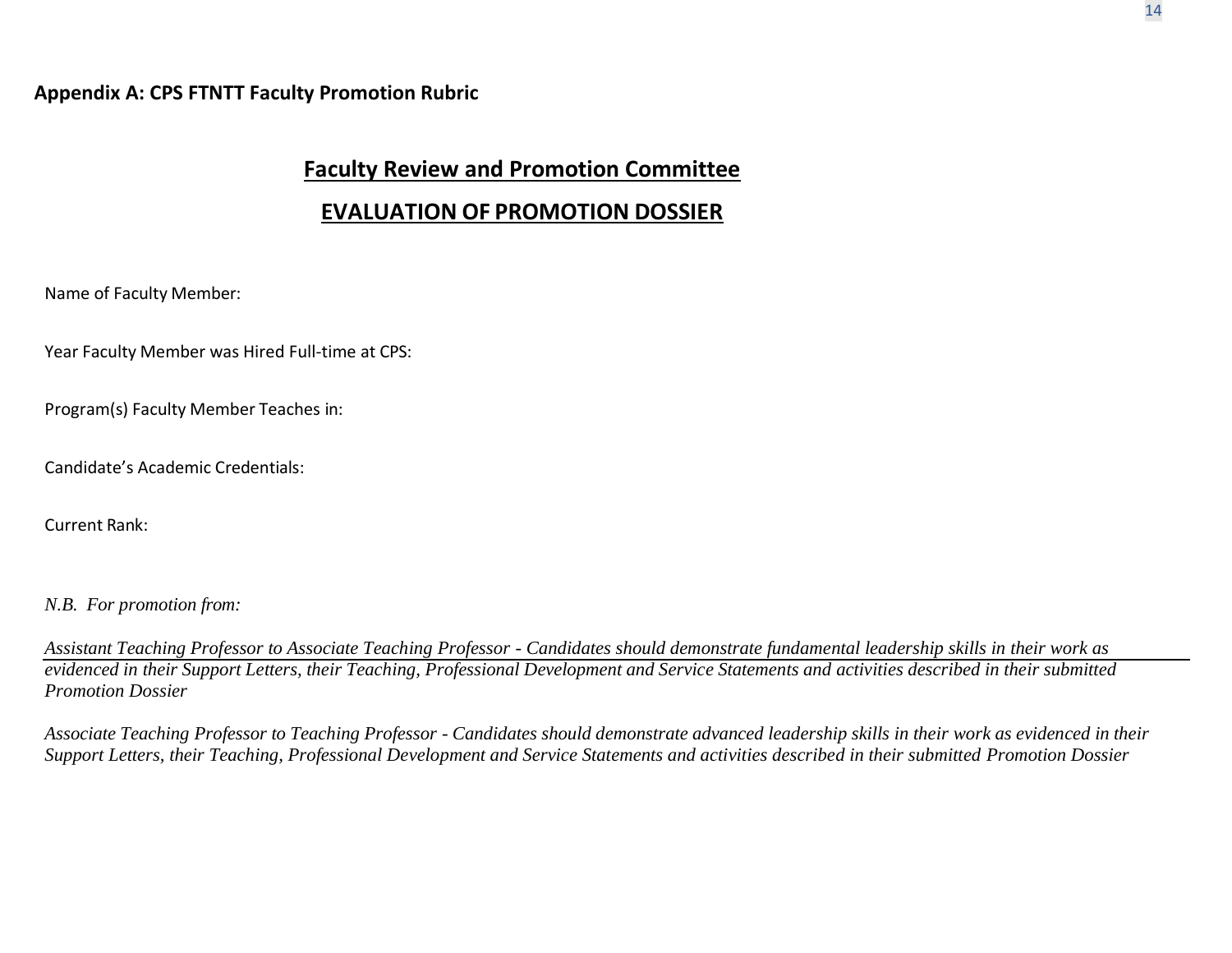## **Faculty Review and Promotion Committee**

## **EVALUATION OF PROMOTION DOSSIER**

Name of Faculty Member:

Year Faculty Member was Hired Full-time at CPS:

Program(s) Faculty Member Teaches in:

Candidate's Academic Credentials:

Current Rank:

*N.B. For promotion from:*

*Assistant Teaching Professor to Associate Teaching Professor - Candidates should demonstrate fundamental leadership skills in their work as*  evidenced in their Support Letters, their Teaching, Professional Development and Service Statements and activities described in their submitted *Promotion Dossier*

Associate Teaching Professor to Teaching Professor - Candidates should demonstrate advanced leadership skills in their work as evidenced in their *Support Letters, their Teaching, Professional Development and Service Statements and activities described in their submitted Promotion Dossier*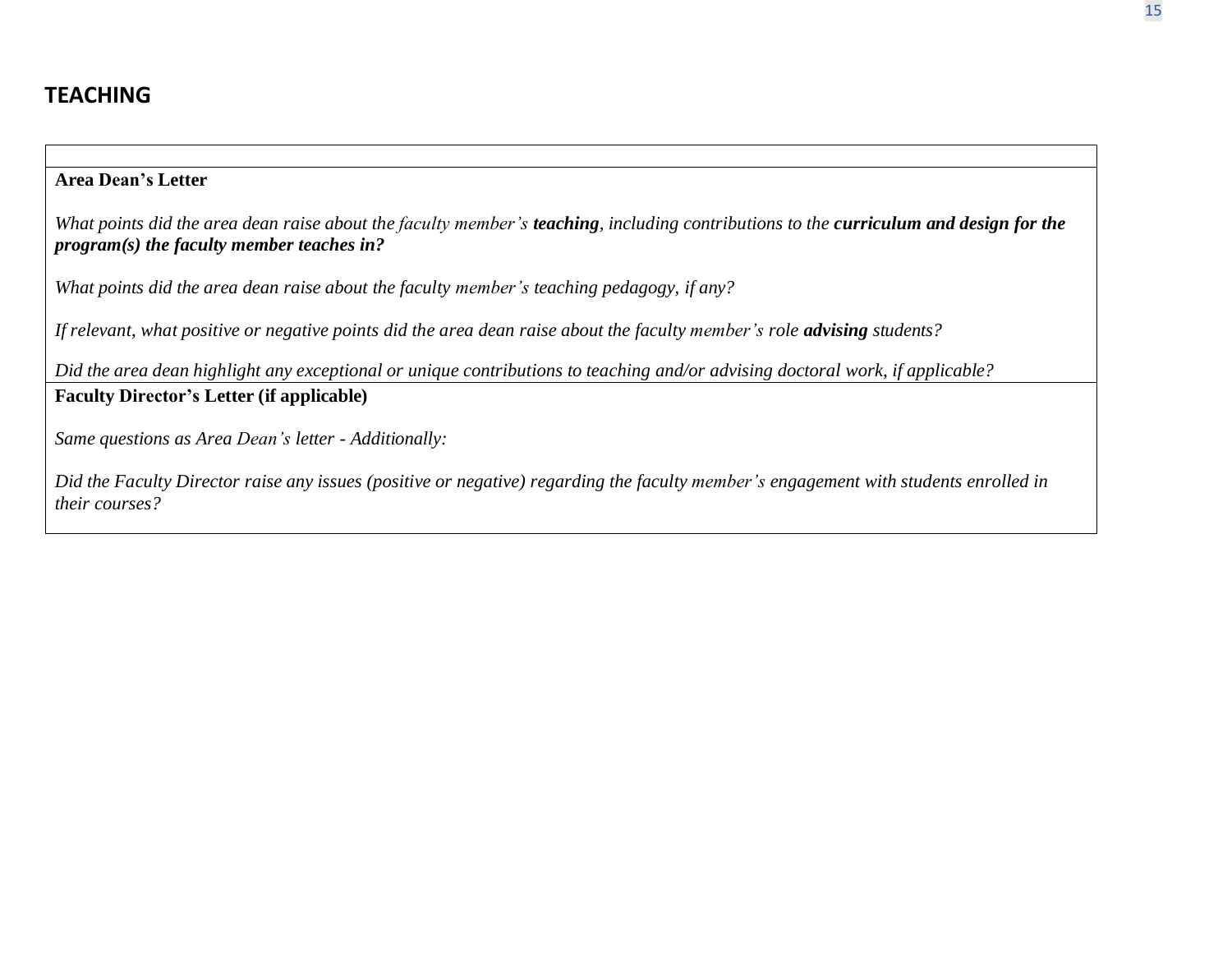## **Area Dean's Letter**

What points did the area dean raise about the faculty member's teaching, including contributions to the curriculum and design for the *program(s) the faculty member teaches in?*

*What points did the area dean raise about the faculty member's teaching pedagogy, if any?*

If relevant, what positive or negative points did the area dean raise about the faculty member's role **advising** students?

Did the area dean highlight any exceptional or unique contributions to teaching and/or advising doctoral work, if applicable? **Faculty Director's Letter (if applicable)**

*Same questions as Area Dean's letter - Additionally:*

Did the Faculty Director raise any issues (positive or negative) regarding the faculty member's engagement with students enrolled in *their courses?*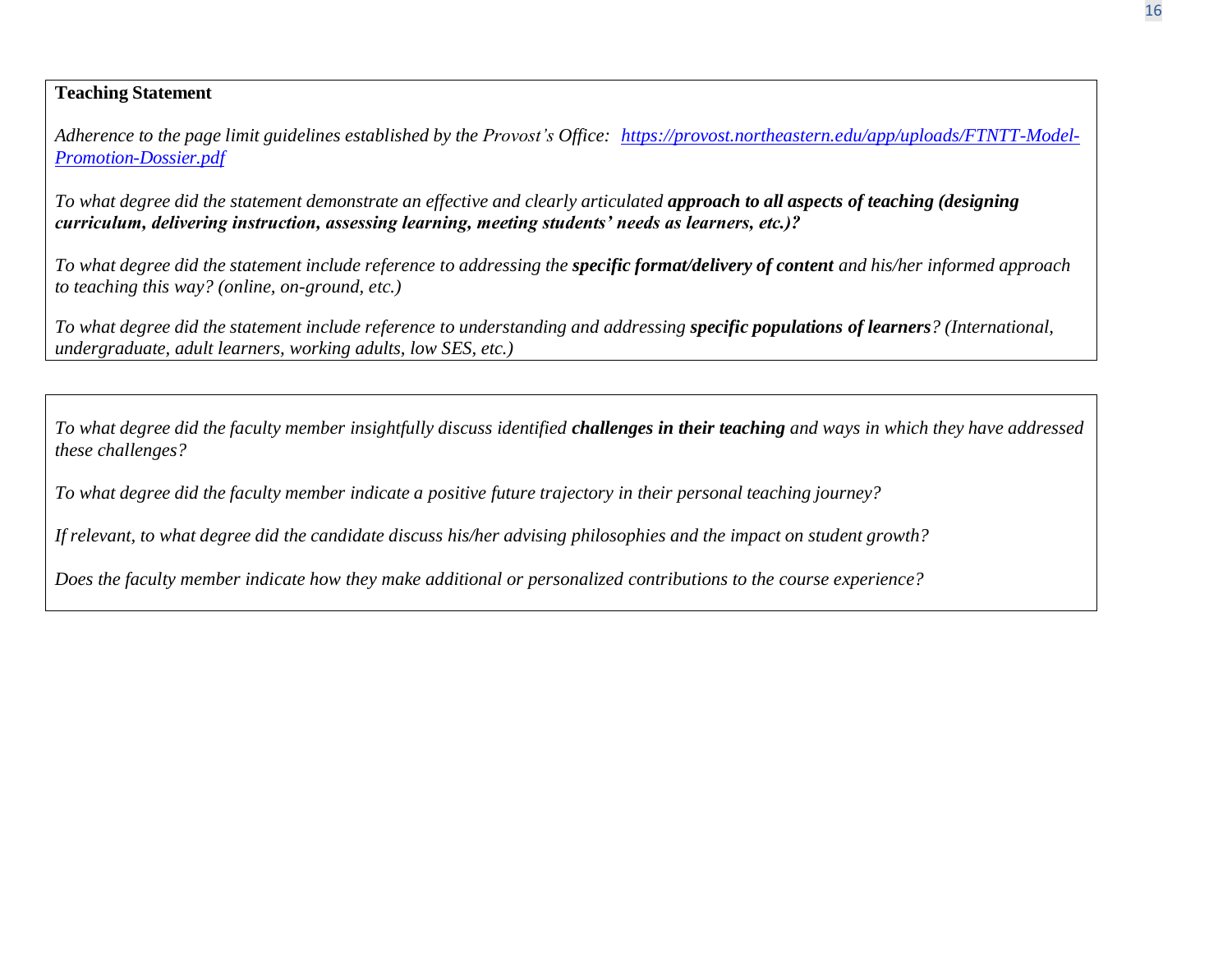### **Teaching Statement**

*Adherence to the page limit guidelines established by the Provost's Office: [https://provost.northeastern.edu/app/uploads/FTNTT-Model-](https://provost.northeastern.edu/app/uploads/FTNTT-Model-Promotion-Dossier.pdf)[Promotion-Dossier.pdf](https://provost.northeastern.edu/app/uploads/FTNTT-Model-Promotion-Dossier.pdf)*

To what degree did the statement demonstrate an effective and clearly articulated approach to all aspects of teaching (designing *curriculum, delivering instruction, assessing learning, meeting students' needs as learners, etc.)?*

To what degree did the statement include reference to addressing the specific format/delivery of content and his/her informed approach *to teaching this way? (online, on-ground, etc.)*

To what degree did the statement include reference to understanding and addressing specific populations of learners? (International, *undergraduate, adult learners, working adults, low SES, etc.)*

To what degree did the faculty member insightfully discuss identified challenges in their teaching and ways in which they have addressed *these challenges?*

*To what degree did the faculty member indicate a positive future trajectory in their personal teaching journey?*

*If relevant, to what degree did the candidate discuss his/her advising philosophies and the impact on student growth?* 

*Does the faculty member indicate how they make additional or personalized contributions to the course experience?*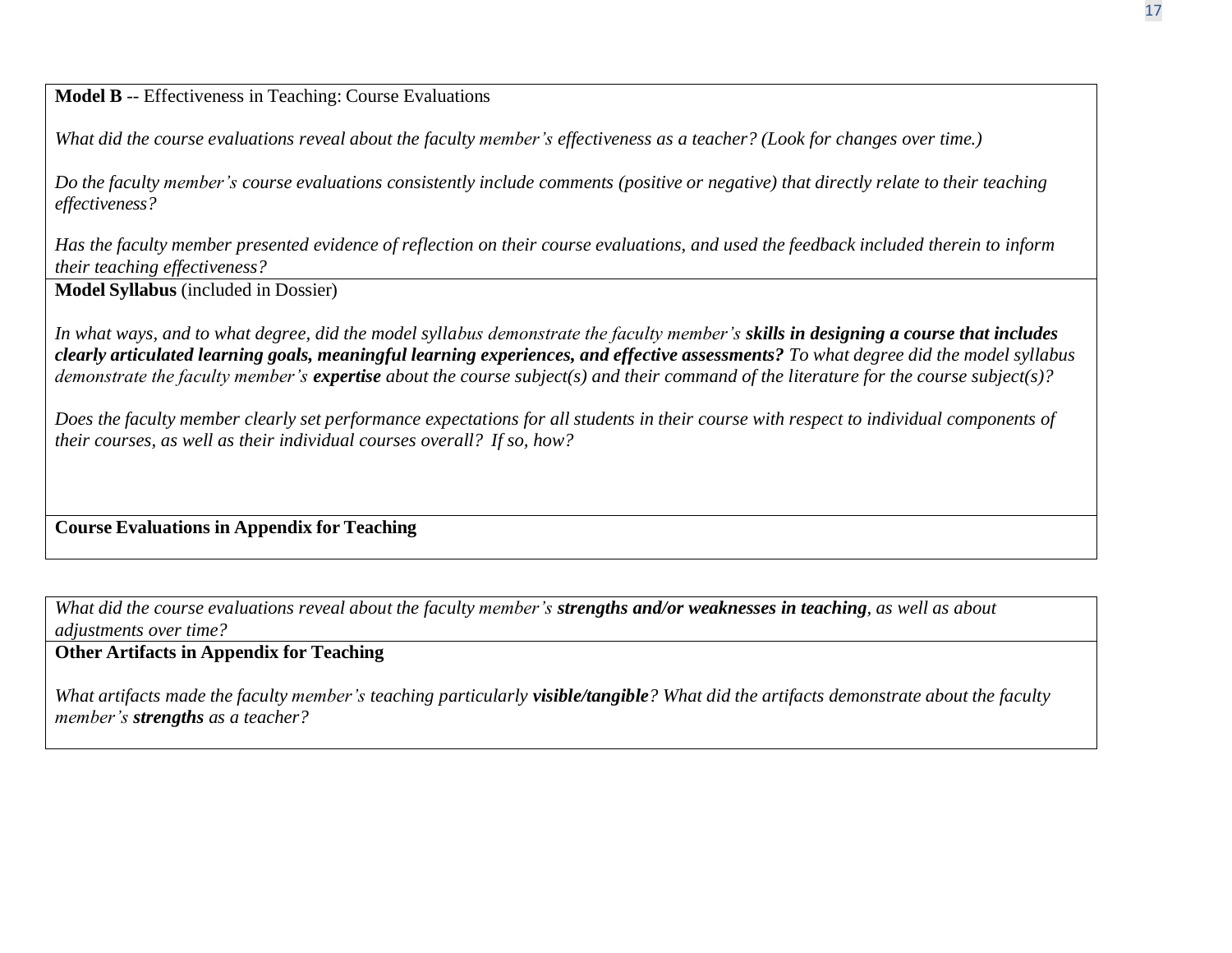**Model B** -- Effectiveness in Teaching: Course Evaluations

What did the course evaluations reveal about the faculty member's effectiveness as a teacher? (Look for changes over time.)

Do the faculty member's course evaluations consistently include comments (positive or negative) that directly relate to their teaching *effectiveness?*

Has the faculty member presented evidence of reflection on their course evaluations, and used the feedback included therein to inform *their teaching effectiveness?*

**Model Syllabus** (included in Dossier)

*In what ways, and to what degree, did the model syllabus demonstrate the faculty member's skills in designing a course that includes*  clearly articulated learning goals, meaningful learning experiences, and effective assessments? To what degree did the model syllabus *demonstrate the faculty member's expertise about the course subject(s) and their command of the literature for the course subject(s)?*

Does the faculty member clearly set performance expectations for all students in their course with respect to individual components of *their courses, as well as their individual courses overall? If so, how?*

**Course Evaluations in Appendix for Teaching**

What did the course evaluations reveal about the faculty member's strengths and/or weaknesses in teaching, as well as about *adjustments over time?*

## **Other Artifacts in Appendix for Teaching**

What artifacts made the faculty member's teaching particularly visible/tangible? What did the artifacts demonstrate about the faculty *member's strengths as a teacher?*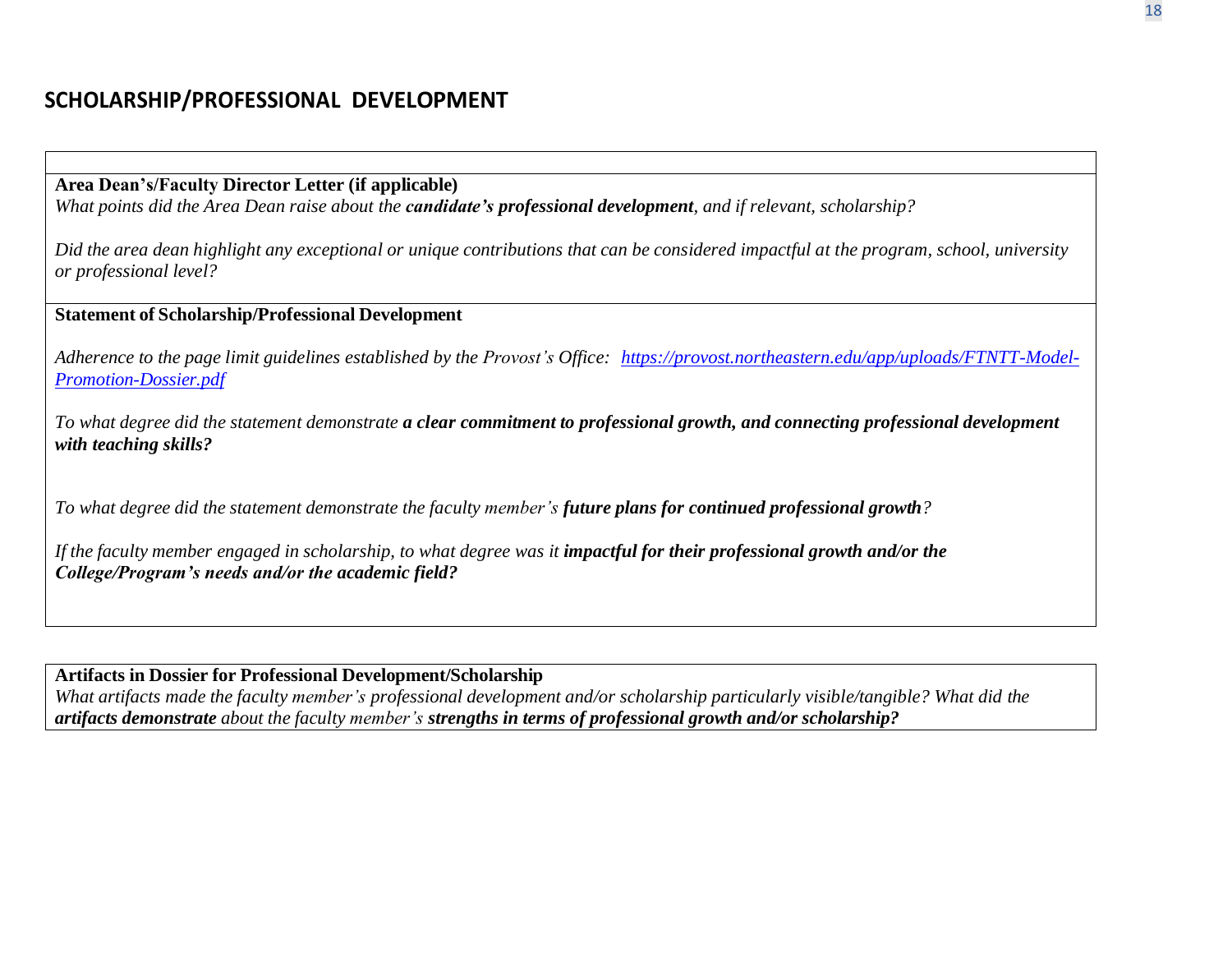**Area Dean's/Faculty Director Letter (if applicable)**

What points did the Area Dean raise about the **candidate's professional development**, and if relevant, scholarship?

Did the area dean highlight any exceptional or unique contributions that can be considered impactful at the program, school, university *or professional level?*

**Statement of Scholarship/Professional Development**

*Adherence to the page limit guidelines established by the Provost's Office: [https://provost.northeastern.edu/app/uploads/FTNTT-Model-](https://provost.northeastern.edu/app/uploads/FTNTT-Model-Promotion-Dossier.pdf)[Promotion-Dossier.pdf](https://provost.northeastern.edu/app/uploads/FTNTT-Model-Promotion-Dossier.pdf)*

To what degree did the statement demonstrate a clear commitment to professional growth, and connecting professional development *with teaching skills?*

To what degree did the statement demonstrate the faculty member's future plans for continued professional growth?

If the faculty member engaged in scholarship, to what degree was it impactful for their professional growth and/or the *College/Program's needs and/or the academic field?*

**Artifacts in Dossier for Professional Development/Scholarship** What artifacts made the faculty member's professional development and/or scholarship particularly visible/tangible? What did the *artifacts demonstrate about the faculty member's strengths in terms of professional growth and/or scholarship?*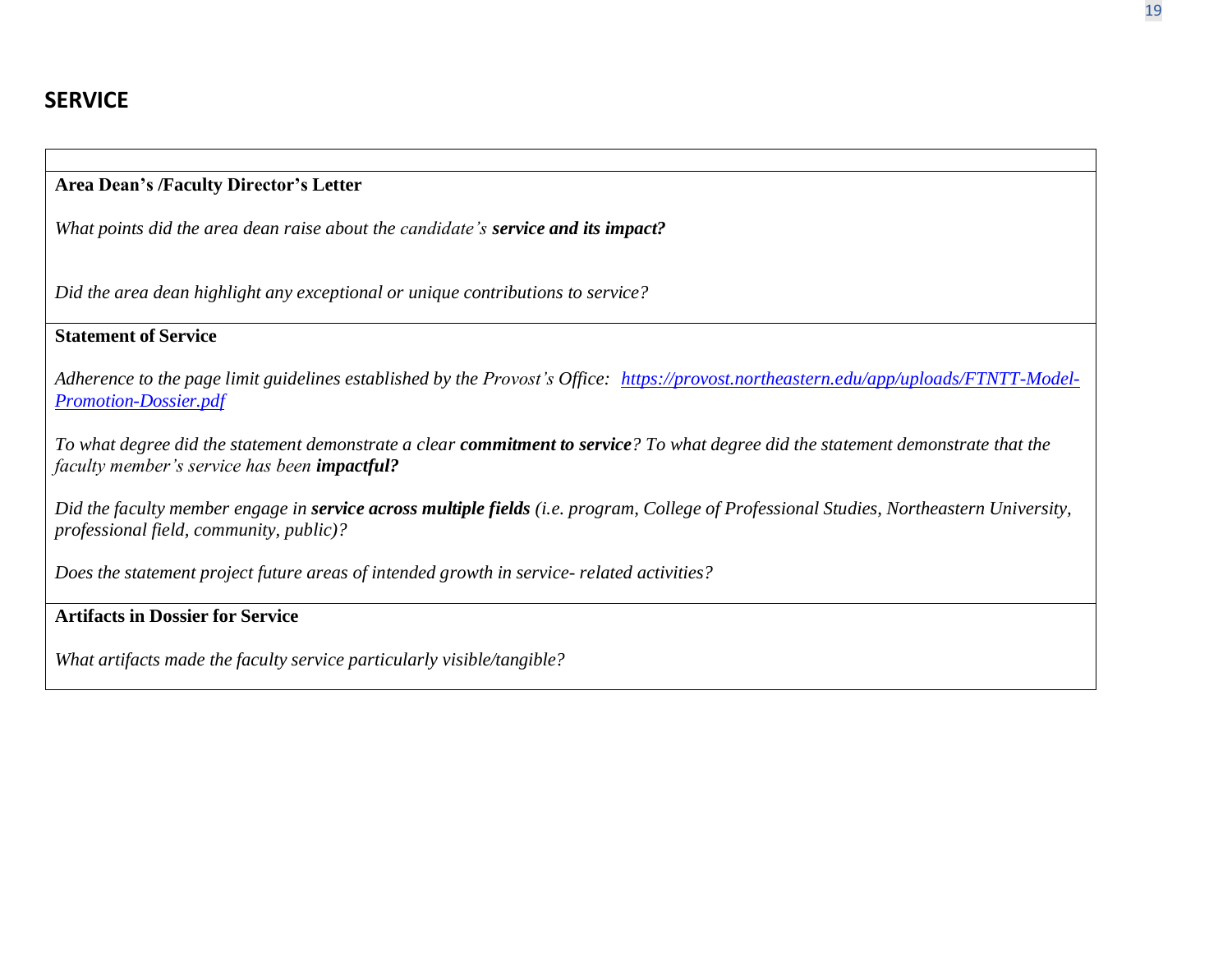## **Area Dean's /Faculty Director's Letter**

*What points did the area dean raise about the candidate's service and its impact?*

*Did the area dean highlight any exceptional or unique contributions to service?*

## **Statement of Service**

*Adherence to the page limit guidelines established by the Provost's Office: [https://provost.northeastern.edu/app/uploads/FTNTT-Model-](https://provost.northeastern.edu/app/uploads/FTNTT-Model-Promotion-Dossier.pdf)[Promotion-Dossier.pdf](https://provost.northeastern.edu/app/uploads/FTNTT-Model-Promotion-Dossier.pdf)*

To what degree did the statement demonstrate a clear commitment to service? To what degree did the statement demonstrate that the *faculty member's service has been impactful?*

Did the faculty member engage in service across multiple fields (i.e. program, College of Professional Studies, Northeastern University, *professional field, community, public)?*

*Does the statement project future areas of intended growth in service- related activities?*

## **Artifacts in Dossier for Service**

*What artifacts made the faculty service particularly visible/tangible?*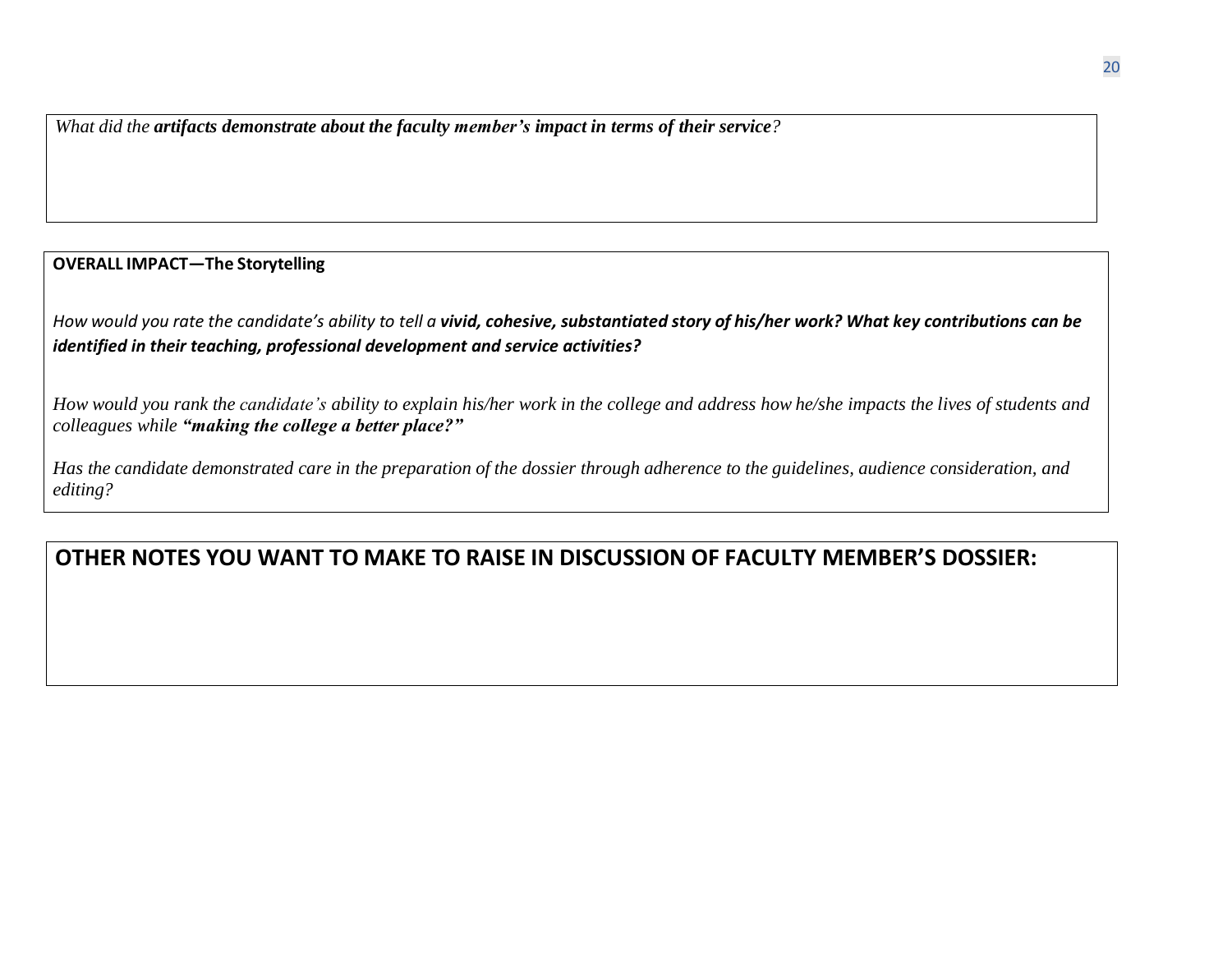*What did the artifacts demonstrate about the faculty member's impact in terms of their service?*

#### **OVERALL IMPACT—The Storytelling**

How would you rate the candidate's ability to tell a vivid, cohesive, substantiated story of his/her work? What key contributions can be *identified in their teaching, professional development and service activities?*

How would you rank the candidate's ability to explain his/her work in the college and address how he/she impacts the lives of students and *colleagues while "making the college a better place?"*

Has the candidate demonstrated care in the preparation of the dossier through adherence to the guidelines, audience consideration, and *editing?*

## **OTHER NOTES YOU WANT TO MAKE TO RAISE IN DISCUSSION OF FACULTY MEMBER'S DOSSIER:**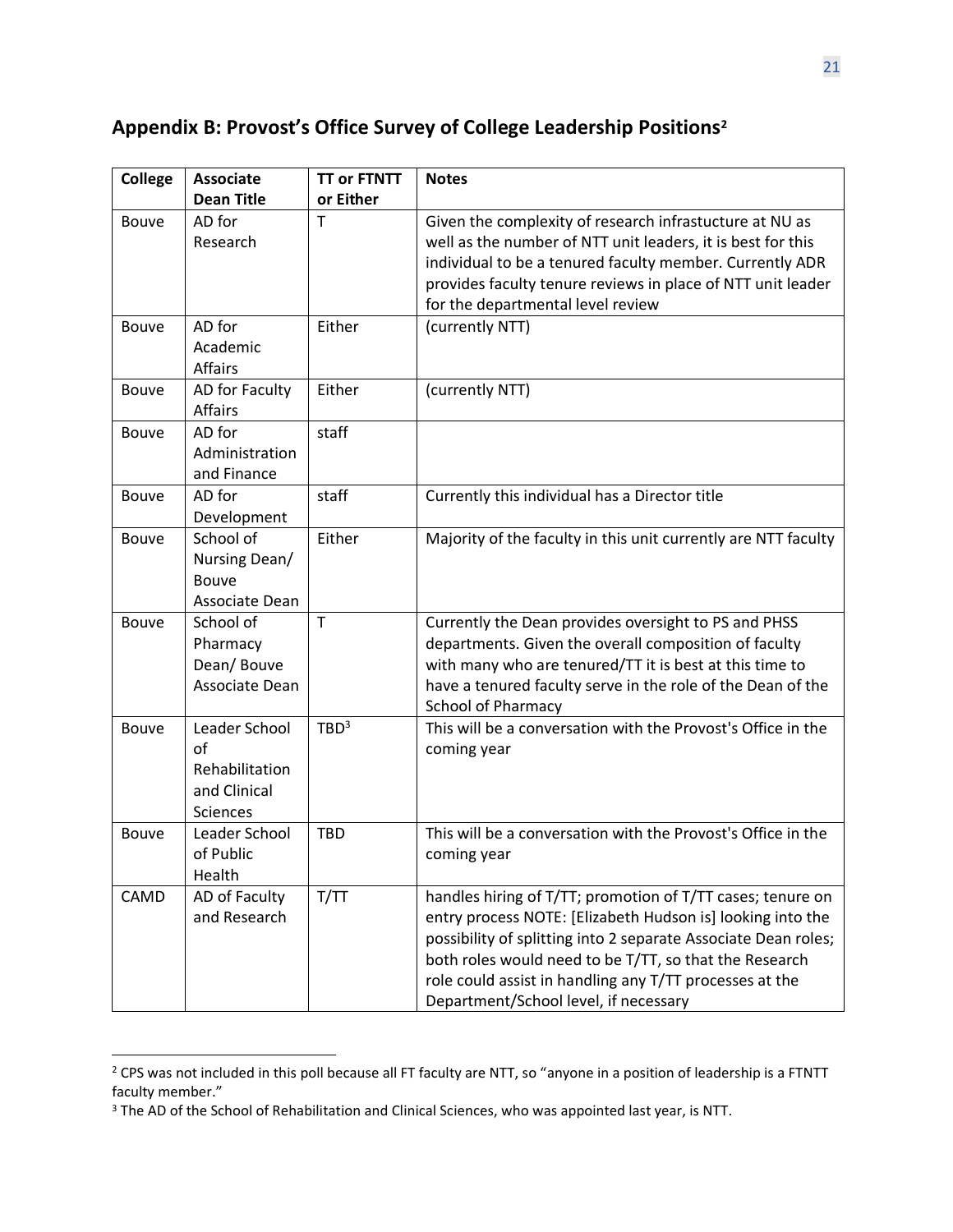## **Appendix B: Provost's Office Survey of College Leadership Positions<sup>2</sup>**

| <b>College</b> | <b>Associate</b>                                                          | <b>TT or FTNTT</b> | <b>Notes</b>                                                                                                                                                                                                                                                                                                                                             |
|----------------|---------------------------------------------------------------------------|--------------------|----------------------------------------------------------------------------------------------------------------------------------------------------------------------------------------------------------------------------------------------------------------------------------------------------------------------------------------------------------|
|                | <b>Dean Title</b>                                                         | or Either          |                                                                                                                                                                                                                                                                                                                                                          |
| <b>Bouve</b>   | AD for<br>Research                                                        | T                  | Given the complexity of research infrastucture at NU as<br>well as the number of NTT unit leaders, it is best for this<br>individual to be a tenured faculty member. Currently ADR<br>provides faculty tenure reviews in place of NTT unit leader<br>for the departmental level review                                                                   |
| Bouve          | AD for<br>Academic<br><b>Affairs</b>                                      | Either             | (currently NTT)                                                                                                                                                                                                                                                                                                                                          |
| Bouve          | AD for Faculty<br>Affairs                                                 | Either             | (currently NTT)                                                                                                                                                                                                                                                                                                                                          |
| <b>Bouve</b>   | AD for<br>Administration<br>and Finance                                   | staff              |                                                                                                                                                                                                                                                                                                                                                          |
| Bouve          | AD for<br>Development                                                     | staff              | Currently this individual has a Director title                                                                                                                                                                                                                                                                                                           |
| <b>Bouve</b>   | School of<br>Nursing Dean/<br>Bouve<br>Associate Dean                     | Either             | Majority of the faculty in this unit currently are NTT faculty                                                                                                                                                                                                                                                                                           |
| Bouve          | School of<br>Pharmacy<br>Dean/Bouve<br>Associate Dean                     | T                  | Currently the Dean provides oversight to PS and PHSS<br>departments. Given the overall composition of faculty<br>with many who are tenured/TT it is best at this time to<br>have a tenured faculty serve in the role of the Dean of the<br><b>School of Pharmacy</b>                                                                                     |
| <b>Bouve</b>   | Leader School<br>$\alpha$ f<br>Rehabilitation<br>and Clinical<br>Sciences | TBD <sup>3</sup>   | This will be a conversation with the Provost's Office in the<br>coming year                                                                                                                                                                                                                                                                              |
| Bouve          | Leader School<br>of Public<br>Health                                      | <b>TBD</b>         | This will be a conversation with the Provost's Office in the<br>coming year                                                                                                                                                                                                                                                                              |
| CAMD           | AD of Faculty<br>and Research                                             | T/TT               | handles hiring of T/TT; promotion of T/TT cases; tenure on<br>entry process NOTE: [Elizabeth Hudson is] looking into the<br>possibility of splitting into 2 separate Associate Dean roles;<br>both roles would need to be T/TT, so that the Research<br>role could assist in handling any T/TT processes at the<br>Department/School level, if necessary |

<sup>&</sup>lt;sup>2</sup> CPS was not included in this poll because all FT faculty are NTT, so "anyone in a position of leadership is a FTNTT faculty member."

<sup>&</sup>lt;sup>3</sup> The AD of the School of Rehabilitation and Clinical Sciences, who was appointed last year, is NTT.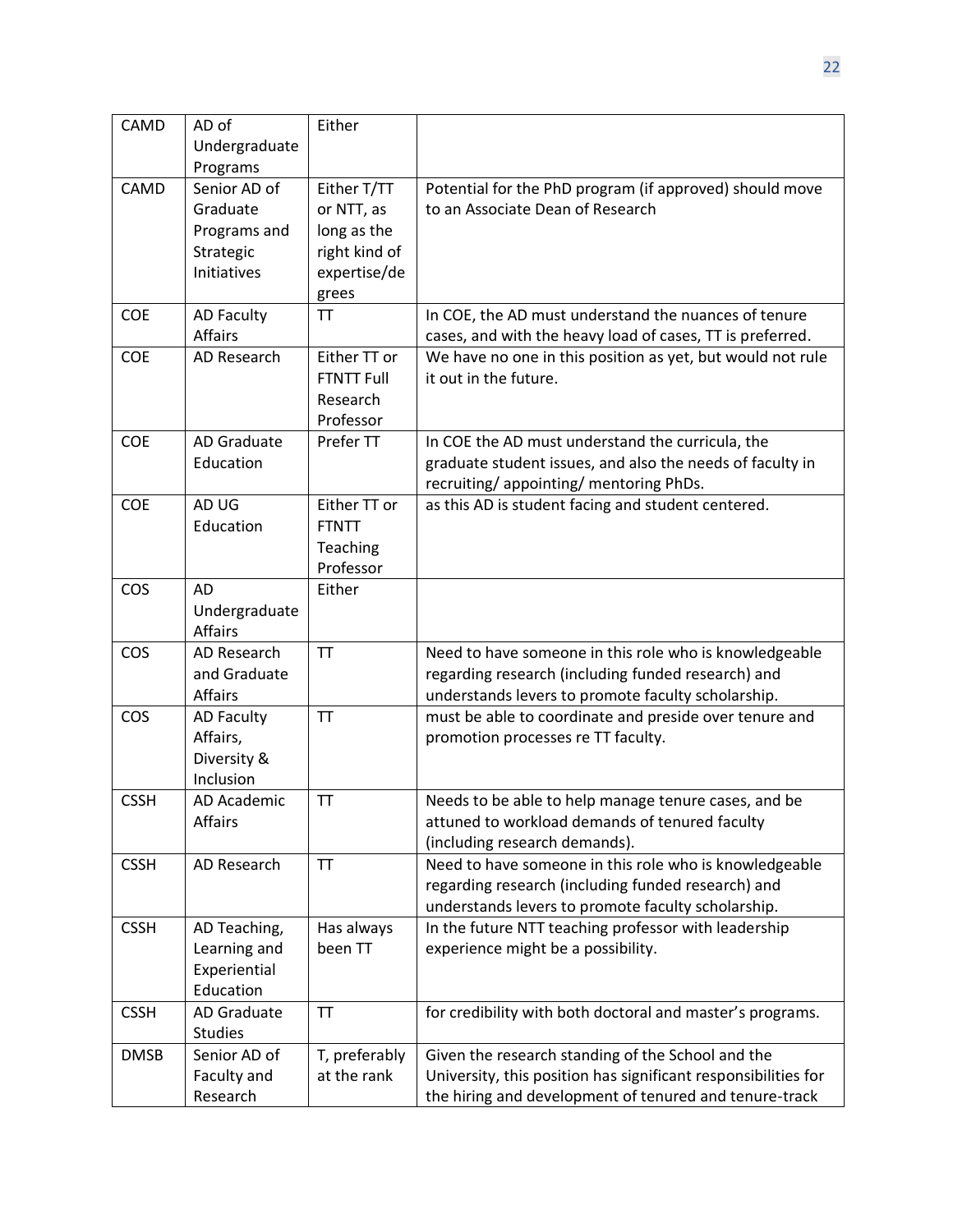| CAMD        | AD of              | Either            |                                                                |
|-------------|--------------------|-------------------|----------------------------------------------------------------|
|             | Undergraduate      |                   |                                                                |
|             | Programs           |                   |                                                                |
| CAMD        | Senior AD of       | Either T/TT       | Potential for the PhD program (if approved) should move        |
|             | Graduate           | or NTT, as        | to an Associate Dean of Research                               |
|             | Programs and       | long as the       |                                                                |
|             | Strategic          | right kind of     |                                                                |
|             | Initiatives        | expertise/de      |                                                                |
|             |                    | grees             |                                                                |
| <b>COE</b>  | <b>AD Faculty</b>  | TT                | In COE, the AD must understand the nuances of tenure           |
|             | Affairs            |                   | cases, and with the heavy load of cases, TT is preferred.      |
| <b>COE</b>  | AD Research        | Either TT or      | We have no one in this position as yet, but would not rule     |
|             |                    | <b>FTNTT Full</b> | it out in the future.                                          |
|             |                    | Research          |                                                                |
|             |                    | Professor         |                                                                |
| <b>COE</b>  | <b>AD Graduate</b> | Prefer TT         | In COE the AD must understand the curricula, the               |
|             | Education          |                   | graduate student issues, and also the needs of faculty in      |
|             |                    |                   | recruiting/appointing/mentoring PhDs.                          |
| COE         | AD UG              | Either TT or      | as this AD is student facing and student centered.             |
|             | Education          | <b>FTNTT</b>      |                                                                |
|             |                    | Teaching          |                                                                |
|             |                    | Professor         |                                                                |
| cos         | <b>AD</b>          | Either            |                                                                |
|             | Undergraduate      |                   |                                                                |
|             | <b>Affairs</b>     |                   |                                                                |
| COS         | AD Research        | <b>TT</b>         | Need to have someone in this role who is knowledgeable         |
|             | and Graduate       |                   | regarding research (including funded research) and             |
|             | <b>Affairs</b>     |                   | understands levers to promote faculty scholarship.             |
| COS         | <b>AD Faculty</b>  | <b>TT</b>         | must be able to coordinate and preside over tenure and         |
|             | Affairs,           |                   | promotion processes re TT faculty.                             |
|             | Diversity &        |                   |                                                                |
|             | Inclusion          |                   |                                                                |
| <b>CSSH</b> | AD Academic        | <b>TT</b>         | Needs to be able to help manage tenure cases, and be           |
|             | Affairs            |                   | attuned to workload demands of tenured faculty                 |
|             |                    |                   | (including research demands).                                  |
| <b>CSSH</b> | AD Research        | TT                | Need to have someone in this role who is knowledgeable         |
|             |                    |                   | regarding research (including funded research) and             |
|             |                    |                   | understands levers to promote faculty scholarship.             |
| <b>CSSH</b> | AD Teaching,       | Has always        | In the future NTT teaching professor with leadership           |
|             | Learning and       | been TT           | experience might be a possibility.                             |
|             | Experiential       |                   |                                                                |
|             | Education          |                   |                                                                |
| <b>CSSH</b> | AD Graduate        | TT                | for credibility with both doctoral and master's programs.      |
|             | <b>Studies</b>     |                   |                                                                |
| <b>DMSB</b> | Senior AD of       | T, preferably     | Given the research standing of the School and the              |
|             | Faculty and        | at the rank       | University, this position has significant responsibilities for |
|             | Research           |                   | the hiring and development of tenured and tenure-track         |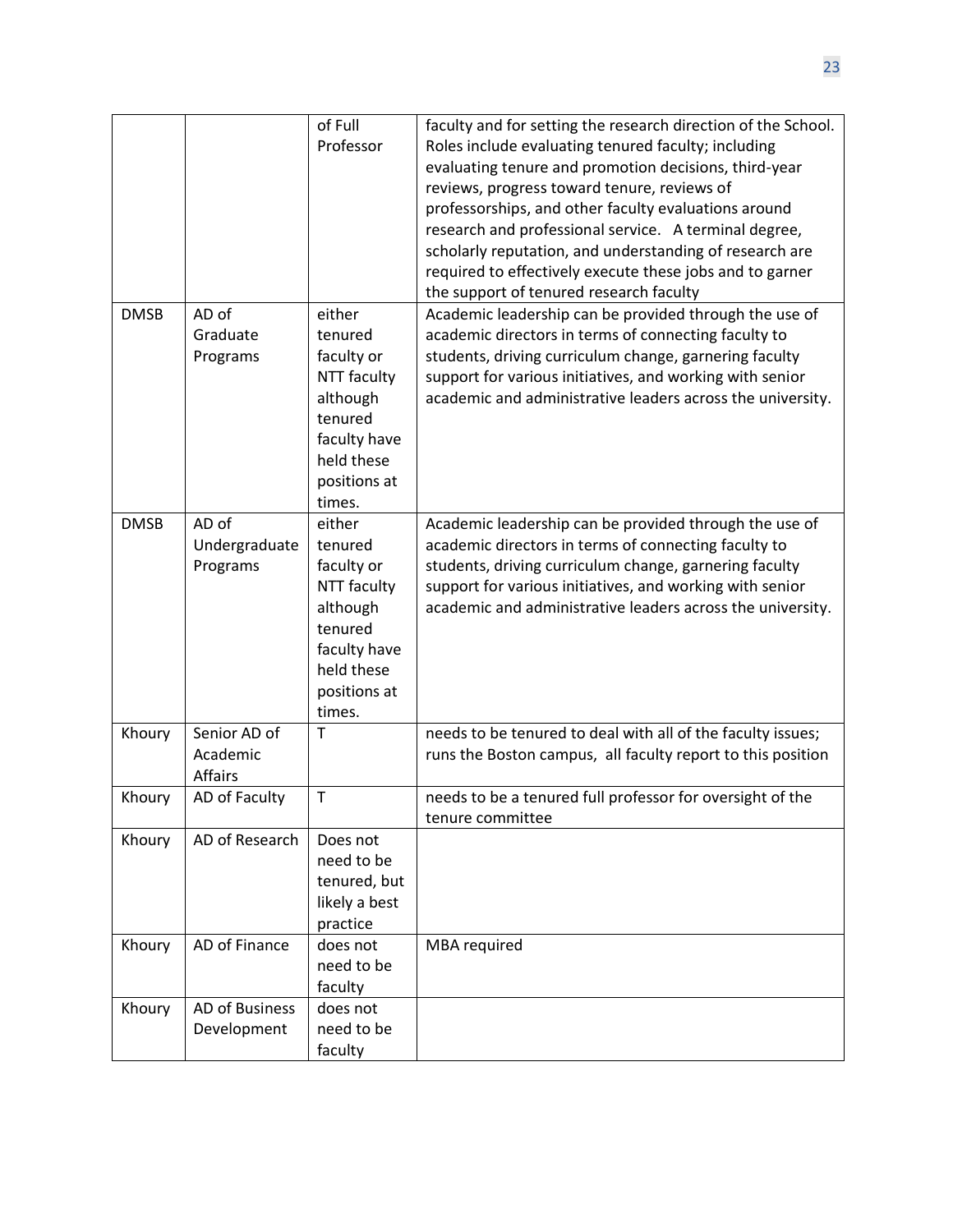|             |                                            | of Full<br>Professor                                                                                                          | faculty and for setting the research direction of the School.<br>Roles include evaluating tenured faculty; including<br>evaluating tenure and promotion decisions, third-year<br>reviews, progress toward tenure, reviews of<br>professorships, and other faculty evaluations around<br>research and professional service. A terminal degree,<br>scholarly reputation, and understanding of research are |
|-------------|--------------------------------------------|-------------------------------------------------------------------------------------------------------------------------------|----------------------------------------------------------------------------------------------------------------------------------------------------------------------------------------------------------------------------------------------------------------------------------------------------------------------------------------------------------------------------------------------------------|
|             |                                            |                                                                                                                               | required to effectively execute these jobs and to garner<br>the support of tenured research faculty                                                                                                                                                                                                                                                                                                      |
| <b>DMSB</b> | AD of<br>Graduate<br>Programs              | either<br>tenured<br>faculty or<br>NTT faculty<br>although<br>tenured<br>faculty have<br>held these<br>positions at<br>times. | Academic leadership can be provided through the use of<br>academic directors in terms of connecting faculty to<br>students, driving curriculum change, garnering faculty<br>support for various initiatives, and working with senior<br>academic and administrative leaders across the university.                                                                                                       |
| <b>DMSB</b> | AD of<br>Undergraduate<br>Programs         | either<br>tenured<br>faculty or<br>NTT faculty<br>although<br>tenured<br>faculty have<br>held these<br>positions at<br>times. | Academic leadership can be provided through the use of<br>academic directors in terms of connecting faculty to<br>students, driving curriculum change, garnering faculty<br>support for various initiatives, and working with senior<br>academic and administrative leaders across the university.                                                                                                       |
| Khoury      | Senior AD of<br>Academic<br><b>Affairs</b> | T                                                                                                                             | needs to be tenured to deal with all of the faculty issues;<br>runs the Boston campus, all faculty report to this position                                                                                                                                                                                                                                                                               |
| Khoury      | AD of Faculty                              | Τ                                                                                                                             | needs to be a tenured full professor for oversight of the<br>tenure committee                                                                                                                                                                                                                                                                                                                            |
| Khoury      | AD of Research                             | Does not<br>need to be<br>tenured, but<br>likely a best<br>practice                                                           |                                                                                                                                                                                                                                                                                                                                                                                                          |
| Khoury      | AD of Finance                              | does not<br>need to be<br>faculty                                                                                             | MBA required                                                                                                                                                                                                                                                                                                                                                                                             |
| Khoury      | <b>AD of Business</b><br>Development       | does not<br>need to be<br>faculty                                                                                             |                                                                                                                                                                                                                                                                                                                                                                                                          |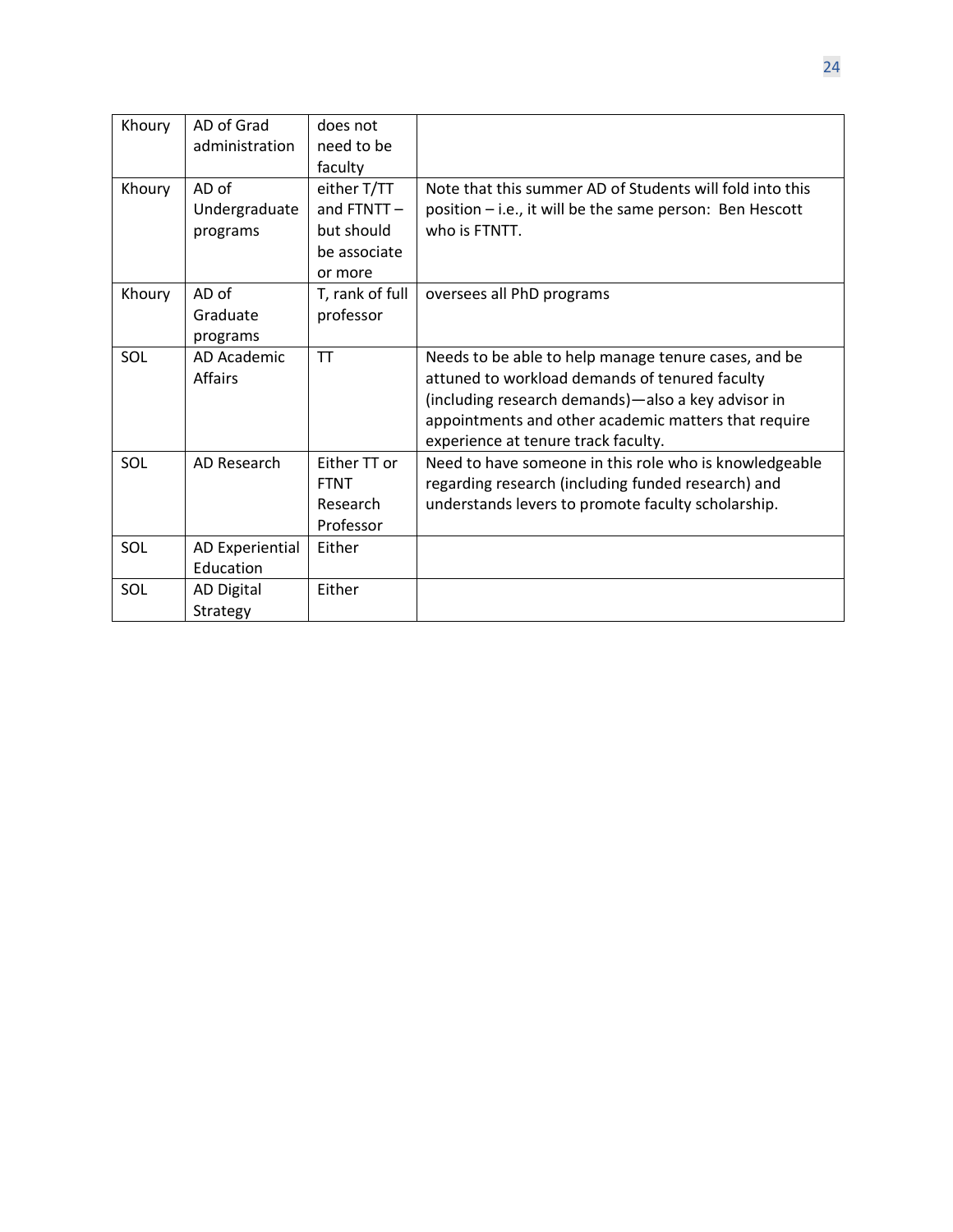| Khoury | AD of Grad<br>administration       | does not<br>need to be<br>faculty                                  |                                                                                                                                                                                                                                                             |
|--------|------------------------------------|--------------------------------------------------------------------|-------------------------------------------------------------------------------------------------------------------------------------------------------------------------------------------------------------------------------------------------------------|
| Khoury | AD of<br>Undergraduate<br>programs | either T/TT<br>and FTNTT-<br>but should<br>be associate<br>or more | Note that this summer AD of Students will fold into this<br>position - i.e., it will be the same person: Ben Hescott<br>who is FTNTT.                                                                                                                       |
| Khoury | AD of<br>Graduate<br>programs      | T, rank of full<br>professor                                       | oversees all PhD programs                                                                                                                                                                                                                                   |
| SOL    | AD Academic<br><b>Affairs</b>      | <b>TT</b>                                                          | Needs to be able to help manage tenure cases, and be<br>attuned to workload demands of tenured faculty<br>(including research demands)-also a key advisor in<br>appointments and other academic matters that require<br>experience at tenure track faculty. |
| SOL    | AD Research                        | Either TT or<br><b>FTNT</b><br>Research<br>Professor               | Need to have someone in this role who is knowledgeable<br>regarding research (including funded research) and<br>understands levers to promote faculty scholarship.                                                                                          |
| SOL    | AD Experiential<br>Education       | Either                                                             |                                                                                                                                                                                                                                                             |
| SOL    | AD Digital<br>Strategy             | Either                                                             |                                                                                                                                                                                                                                                             |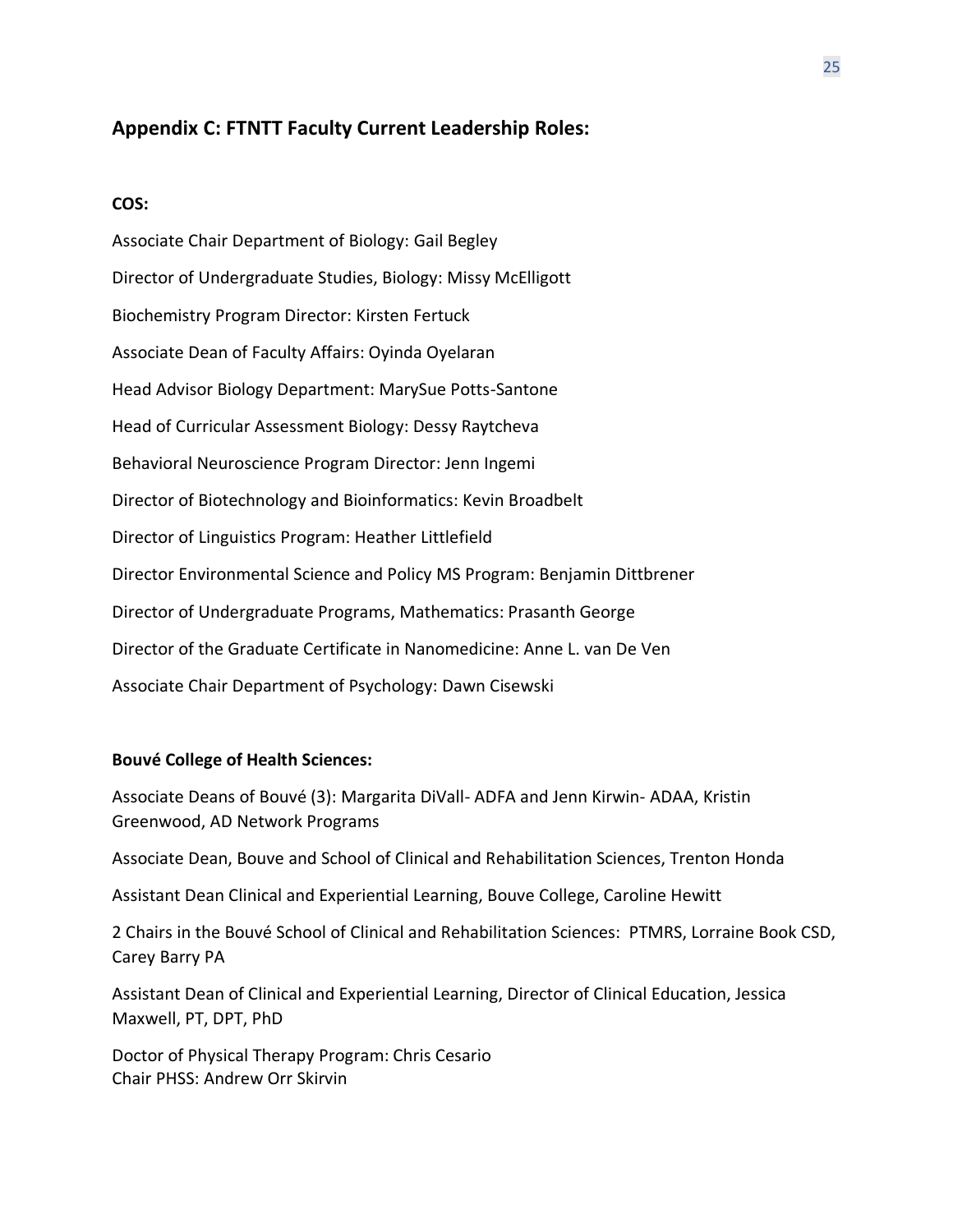## **Appendix C: FTNTT Faculty Current Leadership Roles:**

#### **COS:**

Associate Chair Department of Biology: Gail Begley Director of Undergraduate Studies, Biology: Missy McElligott Biochemistry Program Director: Kirsten Fertuck Associate Dean of Faculty Affairs: Oyinda Oyelaran Head Advisor Biology Department: MarySue Potts-Santone Head of Curricular Assessment Biology: Dessy Raytcheva Behavioral Neuroscience Program Director: Jenn Ingemi Director of Biotechnology and Bioinformatics: Kevin Broadbelt Director of Linguistics Program: Heather Littlefield Director Environmental Science and Policy MS Program: Benjamin Dittbrener Director of Undergraduate Programs, Mathematics: Prasanth George Director of the Graduate Certificate in Nanomedicine: Anne L. van De Ven Associate Chair Department of Psychology: Dawn Cisewski

#### **Bouvé College of Health Sciences:**

Associate Deans of Bouvé (3): Margarita DiVall- ADFA and Jenn Kirwin- ADAA, Kristin Greenwood, AD Network Programs

Associate Dean, Bouve and School of Clinical and Rehabilitation Sciences, Trenton Honda

Assistant Dean Clinical and Experiential Learning, Bouve College, Caroline Hewitt

2 Chairs in the Bouvé School of Clinical and Rehabilitation Sciences: PTMRS, Lorraine Book CSD, Carey Barry PA

Assistant Dean of Clinical and Experiential Learning, Director of Clinical Education, Jessica Maxwell, PT, DPT, PhD

Doctor of Physical Therapy Program: Chris Cesario Chair PHSS: Andrew Orr Skirvin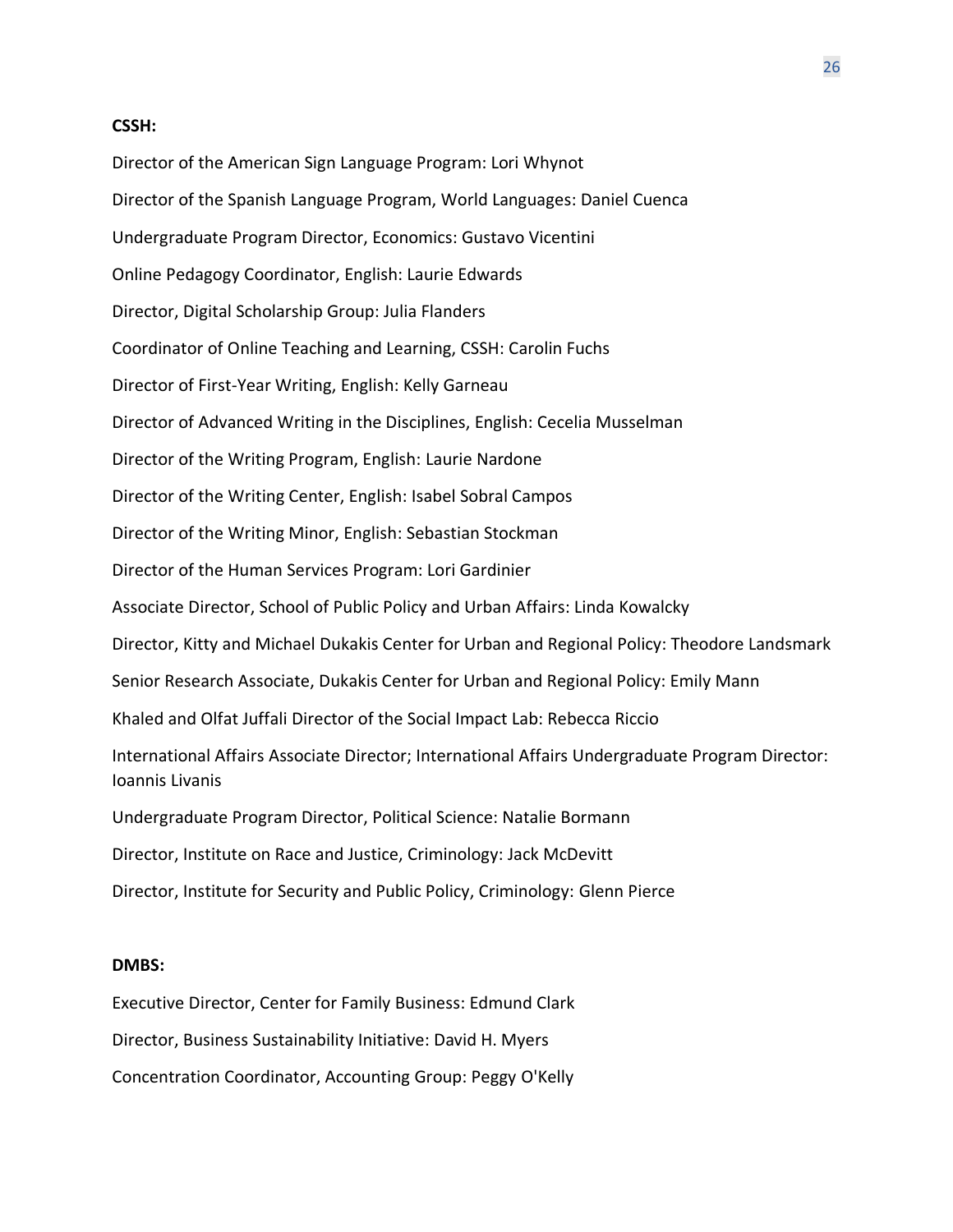#### **CSSH:**

Director of the American Sign Language Program: Lori Whynot Director of the Spanish Language Program, World Languages: Daniel Cuenca Undergraduate Program Director, Economics: Gustavo Vicentini Online Pedagogy Coordinator, English: Laurie Edwards Director, Digital Scholarship Group: Julia Flanders Coordinator of Online Teaching and Learning, CSSH: Carolin Fuchs Director of First-Year Writing, English: Kelly Garneau Director of Advanced Writing in the Disciplines, English: Cecelia Musselman Director of the Writing Program, English: Laurie Nardone Director of the Writing Center, English: Isabel Sobral Campos Director of the Writing Minor, English: Sebastian Stockman Director of the Human Services Program: Lori Gardinier Associate Director, School of Public Policy and Urban Affairs: Linda Kowalcky Director, Kitty and Michael Dukakis Center for Urban and Regional Policy: Theodore Landsmark Senior Research Associate, Dukakis Center for Urban and Regional Policy: Emily Mann Khaled and Olfat Juffali Director of the Social Impact Lab: Rebecca Riccio International Affairs Associate Director; International Affairs Undergraduate Program Director: Ioannis Livanis Undergraduate Program Director, Political Science: Natalie Bormann Director, Institute on Race and Justice, Criminology: Jack McDevitt Director, Institute for Security and Public Policy, Criminology: Glenn Pierce

#### **DMBS:**

Executive Director, Center for Family Business: Edmund Clark Director, Business Sustainability Initiative: David H. Myers Concentration Coordinator, Accounting Group: Peggy O'Kelly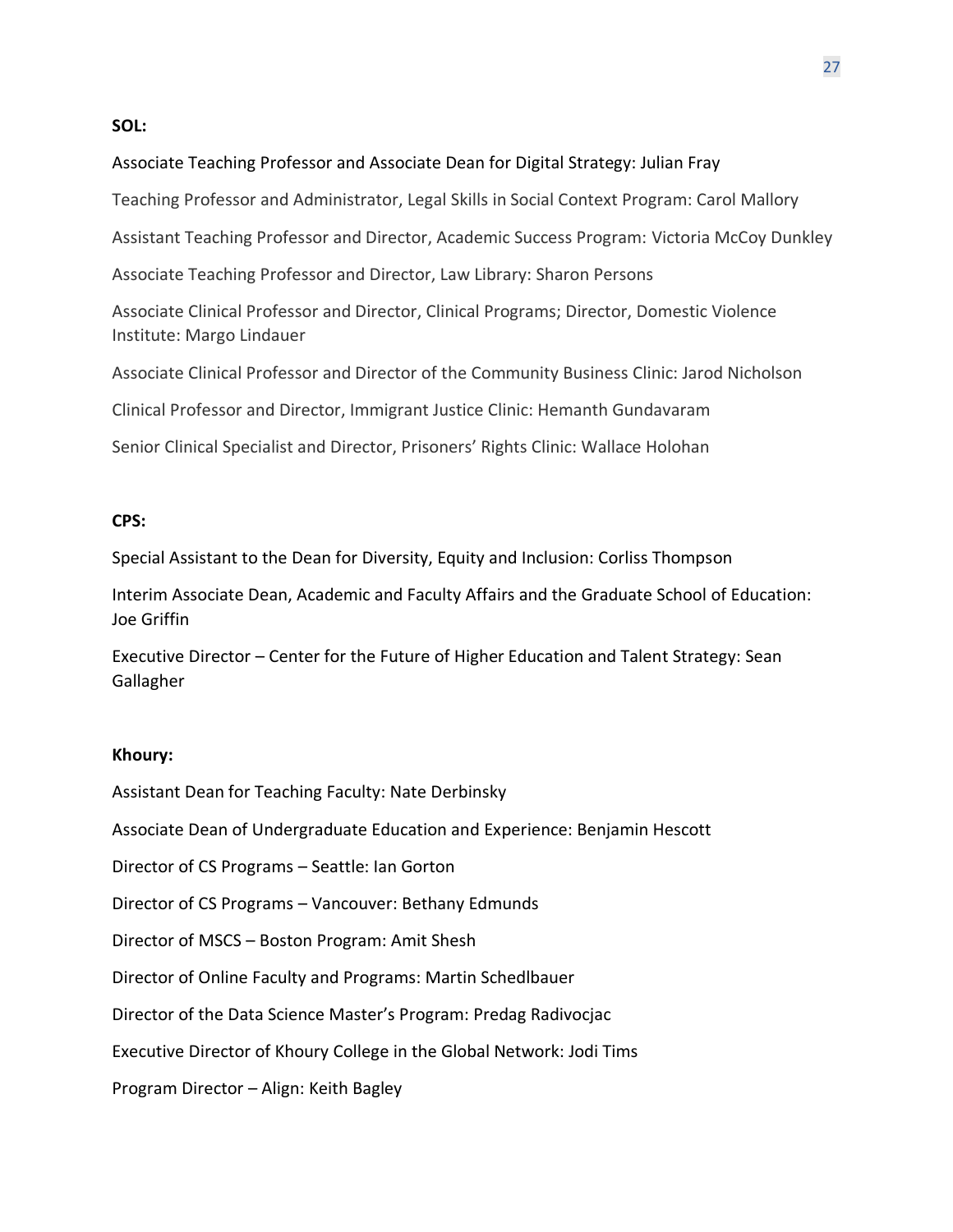#### **SOL:**

### Associate Teaching Professor and Associate Dean for Digital Strategy: Julian Fray

Teaching Professor and Administrator, Legal Skills in Social Context Program: Carol Mallory

Assistant Teaching Professor and Director, Academic Success Program: Victoria McCoy Dunkley

Associate Teaching Professor and Director, Law Library: Sharon Persons

Associate Clinical Professor and Director, Clinical Programs; Director, Domestic Violence Institute: Margo Lindauer

Associate Clinical Professor and Director of the Community Business Clinic: Jarod Nicholson

Clinical Professor and Director, Immigrant Justice Clinic: Hemanth Gundavaram

Senior Clinical Specialist and Director, Prisoners' Rights Clinic: Wallace Holohan

#### **CPS:**

Special Assistant to the Dean for Diversity, Equity and Inclusion: Corliss Thompson

Interim Associate Dean, Academic and Faculty Affairs and the Graduate School of Education: Joe Griffin

Executive Director – Center for the Future of Higher Education and Talent Strategy: Sean Gallagher

## **Khoury:**

Assistant Dean for Teaching Faculty: Nate Derbinsky

Associate Dean of Undergraduate Education and Experience: Benjamin Hescott

Director of CS Programs – Seattle: Ian Gorton

Director of CS Programs – Vancouver: Bethany Edmunds

Director of MSCS – Boston Program: Amit Shesh

Director of Online Faculty and Programs: Martin Schedlbauer

Director of the Data Science Master's Program: Predag Radivocjac

Executive Director of Khoury College in the Global Network: Jodi Tims

Program Director – Align: Keith Bagley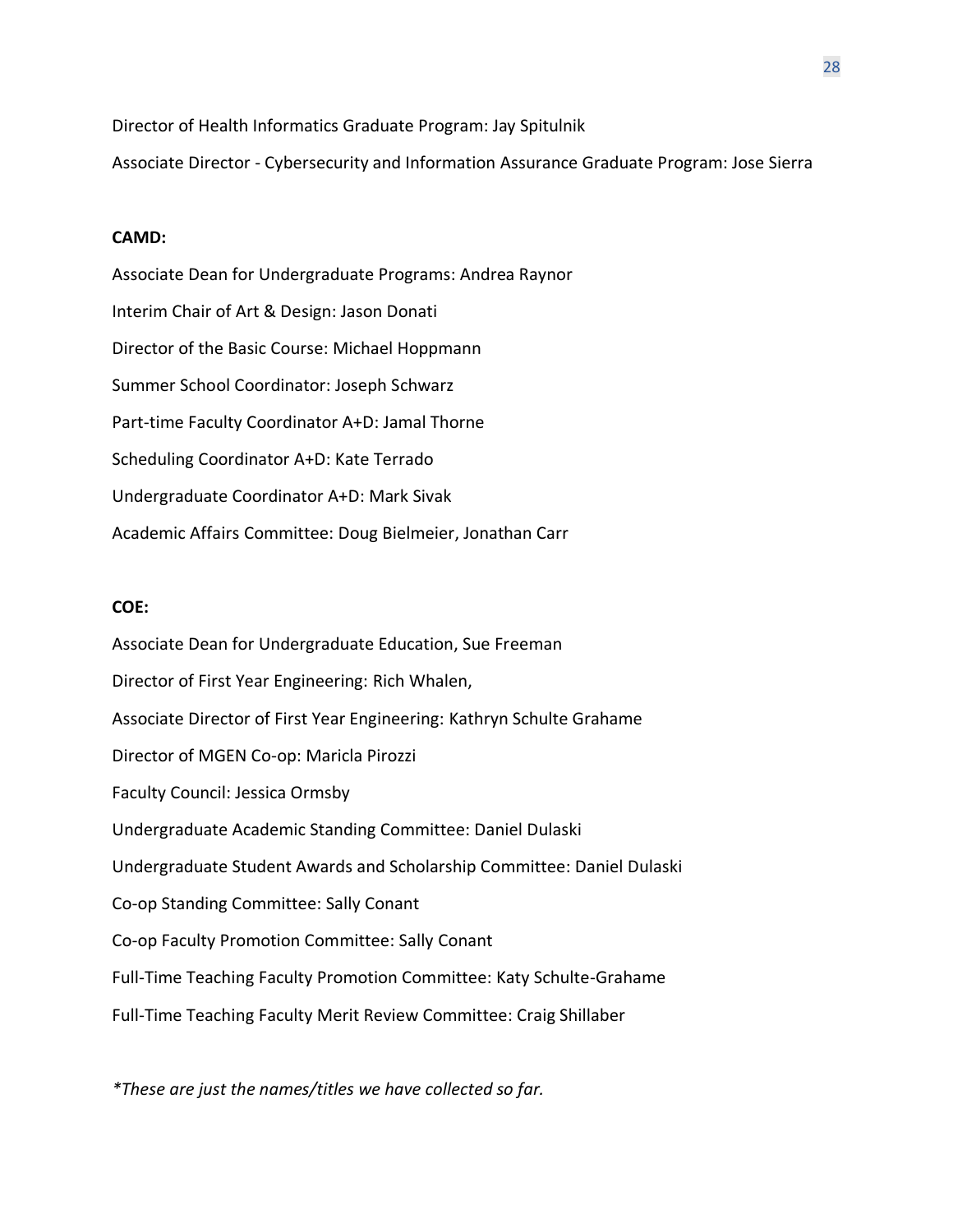Director of Health Informatics Graduate Program: Jay Spitulnik

Associate Director - Cybersecurity and Information Assurance Graduate Program: Jose Sierra

#### **CAMD:**

Associate Dean for Undergraduate Programs: Andrea Raynor Interim Chair of Art & Design: Jason Donati Director of the Basic Course: Michael Hoppmann Summer School Coordinator: Joseph Schwarz Part-time Faculty Coordinator A+D: Jamal Thorne Scheduling Coordinator A+D: Kate Terrado Undergraduate Coordinator A+D: Mark Sivak Academic Affairs Committee: Doug Bielmeier, Jonathan Carr

#### **COE:**

Associate Dean for Undergraduate Education, Sue Freeman Director of First Year Engineering: Rich Whalen, Associate Director of First Year Engineering: Kathryn Schulte Grahame Director of MGEN Co-op: Maricla Pirozzi Faculty Council: Jessica Ormsby Undergraduate Academic Standing Committee: Daniel Dulaski Undergraduate Student Awards and Scholarship Committee: Daniel Dulaski Co-op Standing Committee: Sally Conant Co-op Faculty Promotion Committee: Sally Conant Full-Time Teaching Faculty Promotion Committee: Katy Schulte-Grahame Full-Time Teaching Faculty Merit Review Committee: Craig Shillaber

*\*These are just the names/titles we have collected so far.*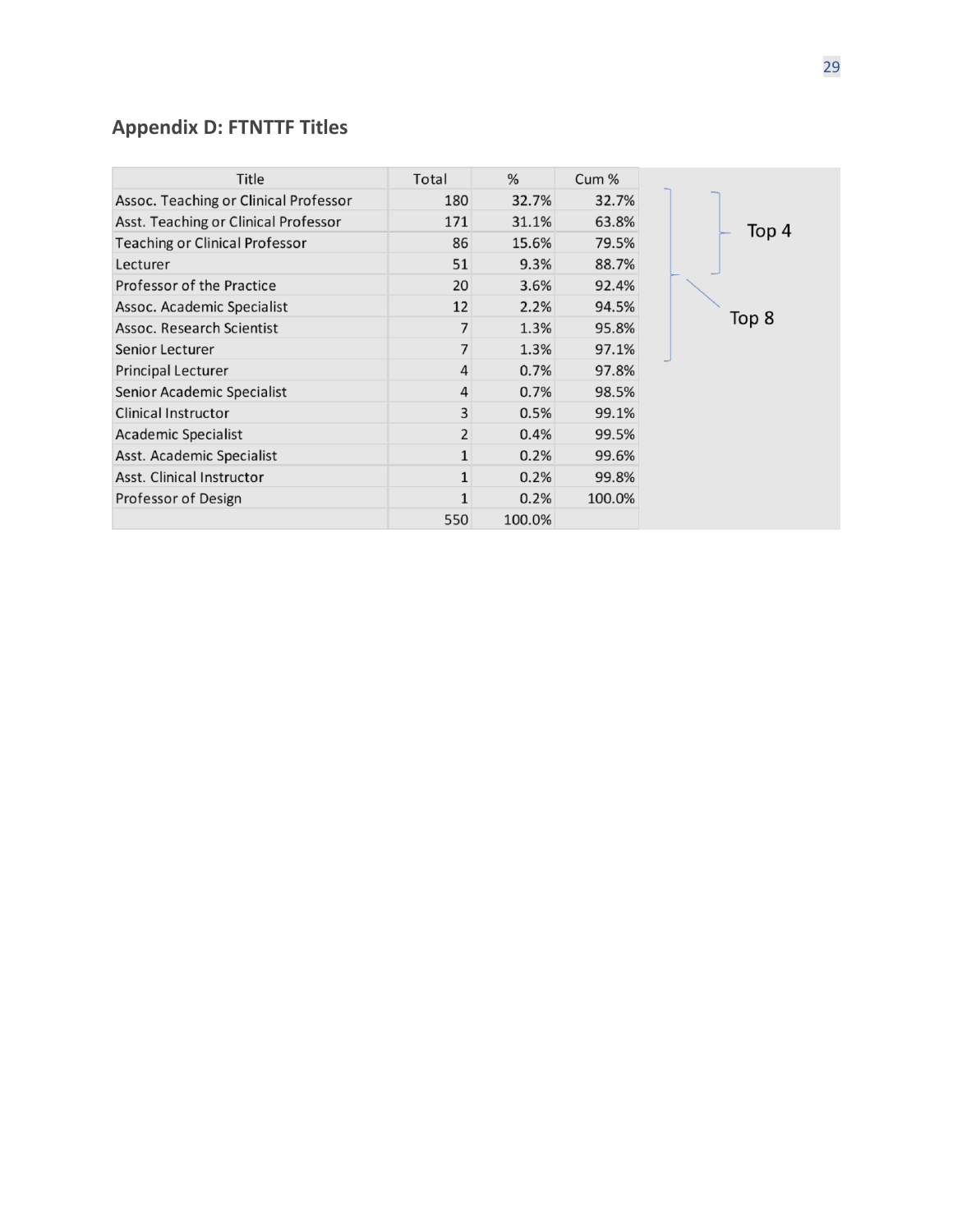## **Appendix D: FTNTTF Titles**

| Title                                 | Total          | %      | Cum %  |       |
|---------------------------------------|----------------|--------|--------|-------|
| Assoc. Teaching or Clinical Professor | 180            | 32.7%  | 32.7%  |       |
| Asst. Teaching or Clinical Professor  | 171            | 31.1%  | 63.8%  |       |
| <b>Teaching or Clinical Professor</b> | 86             | 15.6%  | 79.5%  |       |
| Lecturer                              | 51             | 9.3%   | 88.7%  |       |
| Professor of the Practice             | 20             | 3.6%   | 92.4%  |       |
| Assoc. Academic Specialist            | 12             | 2.2%   | 94.5%  |       |
| Assoc. Research Scientist             | $\overline{7}$ | 1.3%   | 95.8%  | Top 8 |
| Senior Lecturer                       | 7              | 1.3%   | 97.1%  |       |
| <b>Principal Lecturer</b>             | $\overline{4}$ | 0.7%   | 97.8%  |       |
| Senior Academic Specialist            | $\overline{4}$ | 0.7%   | 98.5%  |       |
| <b>Clinical Instructor</b>            | 3              | 0.5%   | 99.1%  |       |
| <b>Academic Specialist</b>            | $\overline{2}$ | 0.4%   | 99.5%  |       |
| Asst. Academic Specialist             | 1              | 0.2%   | 99.6%  |       |
| Asst. Clinical Instructor             | $\mathbf 1$    | 0.2%   | 99.8%  |       |
| Professor of Design                   | $\mathbf{1}$   | 0.2%   | 100.0% |       |
|                                       | 550            | 100.0% |        |       |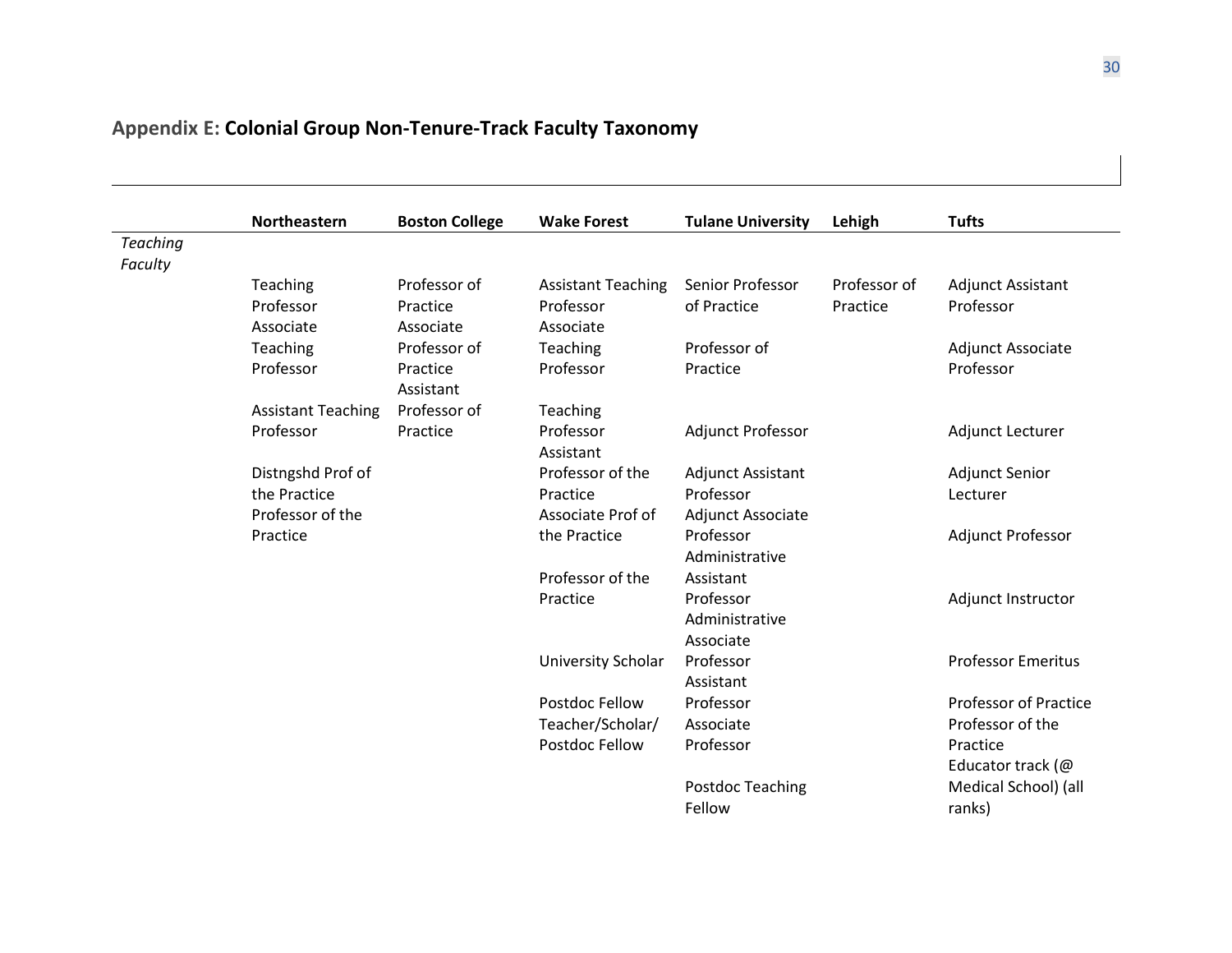## **Appendix E: Colonial Group Non-Tenure-Track Faculty Taxonomy**

|                 | <b>Northeastern</b>       | <b>Boston College</b> | <b>Wake Forest</b>        | <b>Tulane University</b> | Lehigh       | <b>Tufts</b>                 |
|-----------------|---------------------------|-----------------------|---------------------------|--------------------------|--------------|------------------------------|
| <b>Teaching</b> |                           |                       |                           |                          |              |                              |
| Faculty         |                           |                       |                           |                          |              |                              |
|                 | Teaching                  | Professor of          | <b>Assistant Teaching</b> | Senior Professor         | Professor of | <b>Adjunct Assistant</b>     |
|                 | Professor                 | Practice              | Professor                 | of Practice              | Practice     | Professor                    |
|                 | Associate                 | Associate             | Associate                 |                          |              |                              |
|                 | Teaching                  | Professor of          | Teaching                  | Professor of             |              | Adjunct Associate            |
|                 | Professor                 | Practice<br>Assistant | Professor                 | Practice                 |              | Professor                    |
|                 | <b>Assistant Teaching</b> | Professor of          | Teaching                  |                          |              |                              |
|                 | Professor                 | Practice              | Professor                 | <b>Adjunct Professor</b> |              | Adjunct Lecturer             |
|                 |                           |                       | Assistant                 |                          |              |                              |
|                 | Distngshd Prof of         |                       | Professor of the          | Adjunct Assistant        |              | Adjunct Senior               |
|                 | the Practice              |                       | Practice                  | Professor                |              | Lecturer                     |
|                 | Professor of the          |                       | Associate Prof of         | Adjunct Associate        |              |                              |
|                 | Practice                  |                       | the Practice              | Professor                |              | Adjunct Professor            |
|                 |                           |                       |                           | Administrative           |              |                              |
|                 |                           |                       | Professor of the          | Assistant                |              |                              |
|                 |                           |                       | Practice                  | Professor                |              | Adjunct Instructor           |
|                 |                           |                       |                           | Administrative           |              |                              |
|                 |                           |                       |                           | Associate                |              |                              |
|                 |                           |                       | University Scholar        | Professor                |              | <b>Professor Emeritus</b>    |
|                 |                           |                       |                           | Assistant                |              |                              |
|                 |                           |                       | Postdoc Fellow            | Professor                |              | <b>Professor of Practice</b> |
|                 |                           |                       | Teacher/Scholar/          | Associate                |              | Professor of the             |
|                 |                           |                       | Postdoc Fellow            | Professor                |              | Practice                     |
|                 |                           |                       |                           |                          |              | Educator track (@            |
|                 |                           |                       |                           | Postdoc Teaching         |              | Medical School) (all         |
|                 |                           |                       |                           | Fellow                   |              | ranks)                       |
|                 |                           |                       |                           |                          |              |                              |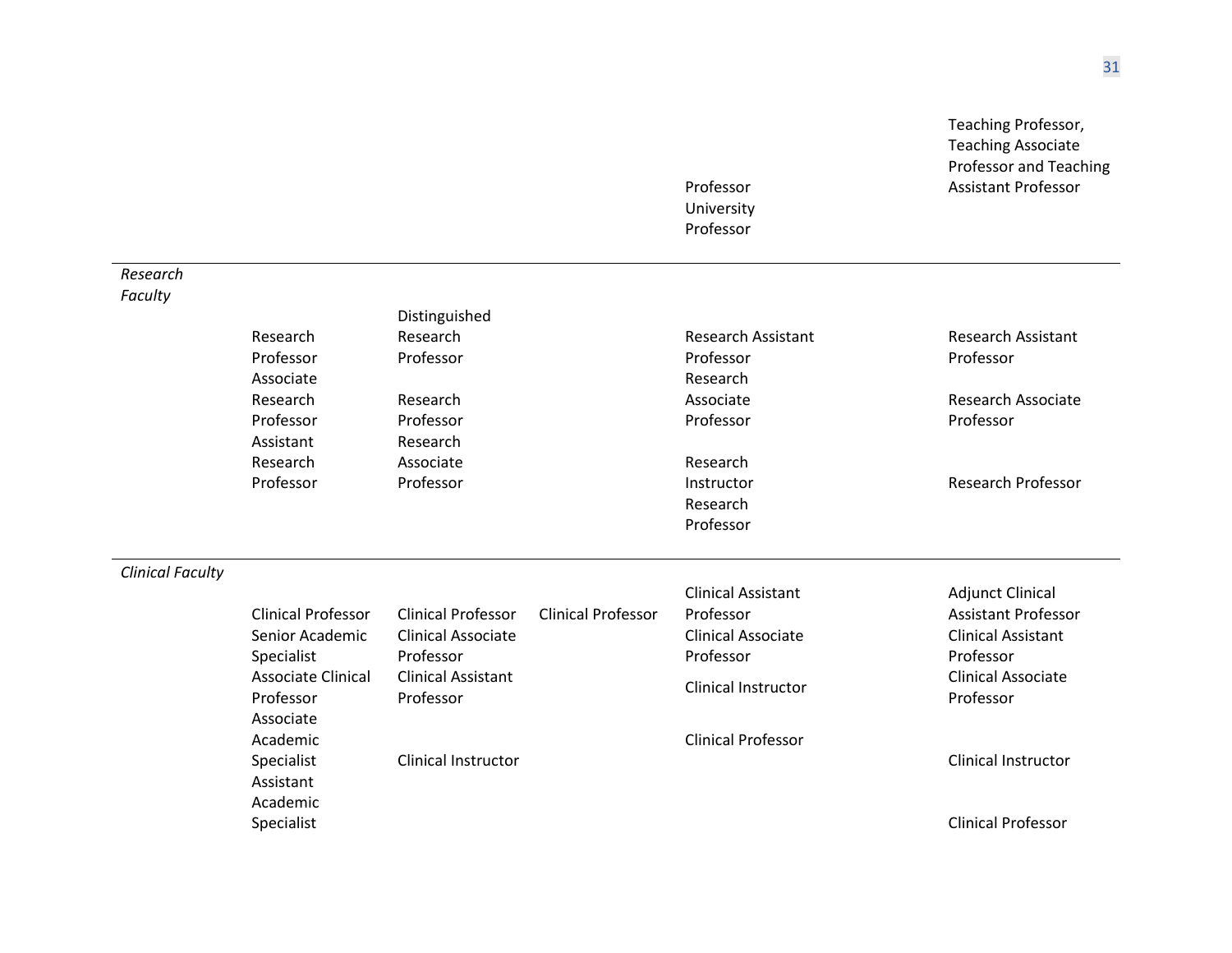|                         |                           |                            |                           |                           | Teaching Professor,<br><b>Teaching Associate</b> |
|-------------------------|---------------------------|----------------------------|---------------------------|---------------------------|--------------------------------------------------|
|                         |                           |                            |                           |                           | <b>Professor and Teaching</b>                    |
|                         |                           |                            |                           | Professor                 | <b>Assistant Professor</b>                       |
|                         |                           |                            |                           | University                |                                                  |
|                         |                           |                            |                           | Professor                 |                                                  |
| Research                |                           |                            |                           |                           |                                                  |
| Faculty                 |                           |                            |                           |                           |                                                  |
|                         |                           | Distinguished              |                           |                           |                                                  |
|                         | Research                  | Research                   |                           | <b>Research Assistant</b> | <b>Research Assistant</b>                        |
|                         | Professor                 | Professor                  |                           | Professor                 | Professor                                        |
|                         | Associate                 |                            |                           | Research                  |                                                  |
|                         | Research                  | Research                   |                           | Associate                 | <b>Research Associate</b>                        |
|                         | Professor                 | Professor                  |                           | Professor                 | Professor                                        |
|                         | Assistant                 | Research                   |                           |                           |                                                  |
|                         | Research                  | Associate                  |                           | Research                  |                                                  |
|                         | Professor                 | Professor                  |                           | Instructor                | <b>Research Professor</b>                        |
|                         |                           |                            |                           | Research                  |                                                  |
|                         |                           |                            |                           | Professor                 |                                                  |
| <b>Clinical Faculty</b> |                           |                            |                           |                           |                                                  |
|                         |                           |                            |                           | <b>Clinical Assistant</b> | <b>Adjunct Clinical</b>                          |
|                         | <b>Clinical Professor</b> | <b>Clinical Professor</b>  | <b>Clinical Professor</b> | Professor                 | <b>Assistant Professor</b>                       |
|                         | Senior Academic           | <b>Clinical Associate</b>  |                           | <b>Clinical Associate</b> | <b>Clinical Assistant</b>                        |
|                         | Specialist                | Professor                  |                           | Professor                 | Professor                                        |
|                         | <b>Associate Clinical</b> | <b>Clinical Assistant</b>  |                           | Clinical Instructor       | <b>Clinical Associate</b>                        |
|                         | Professor                 | Professor                  |                           |                           | Professor                                        |
|                         | Associate                 |                            |                           |                           |                                                  |
|                         | Academic                  |                            |                           | <b>Clinical Professor</b> |                                                  |
|                         | Specialist                | <b>Clinical Instructor</b> |                           |                           | Clinical Instructor                              |
|                         | Assistant                 |                            |                           |                           |                                                  |
|                         | Academic                  |                            |                           |                           |                                                  |
|                         | Specialist                |                            |                           |                           | <b>Clinical Professor</b>                        |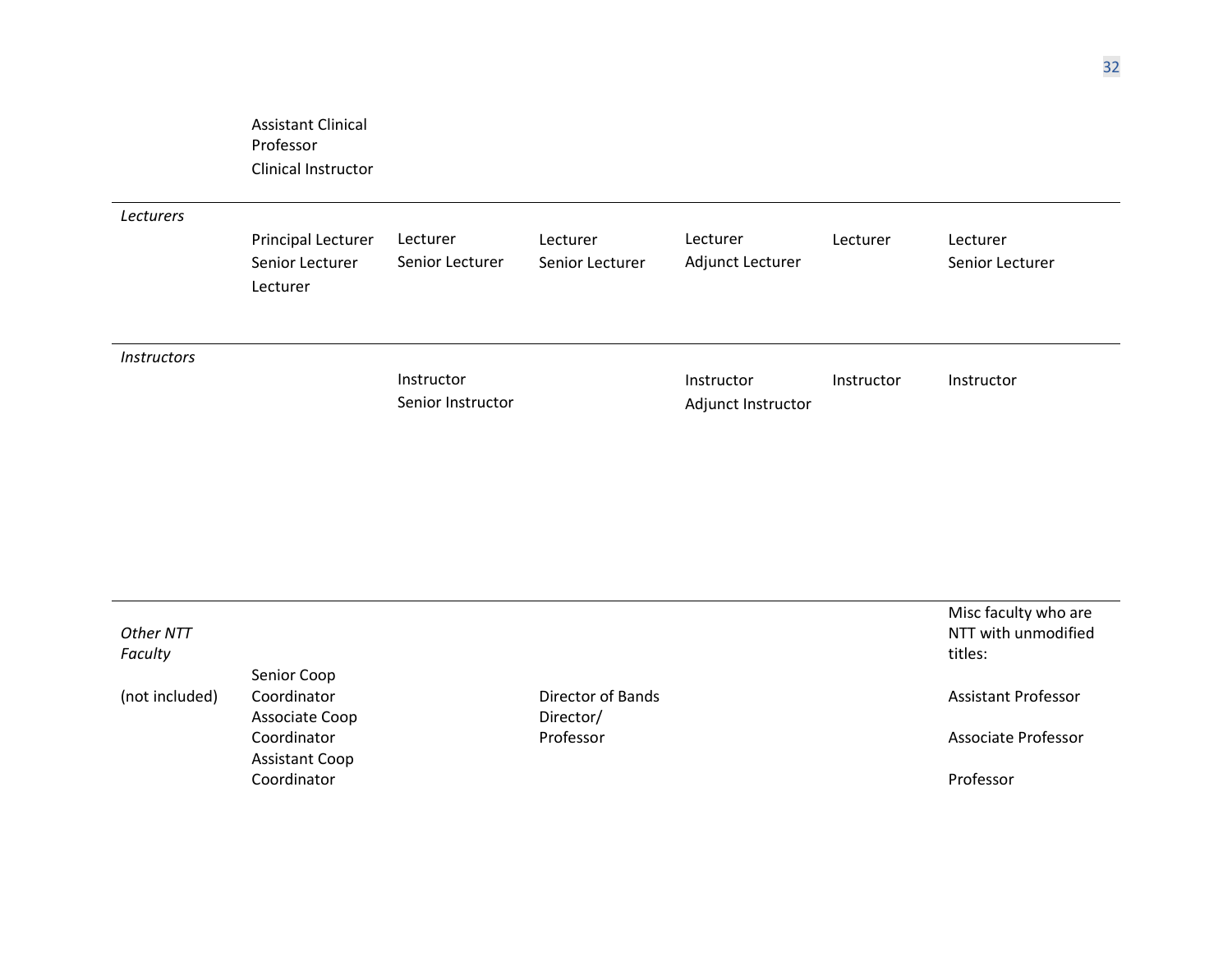Assistant Clinical Professor Clinical Instructor

*Lecturers*

| Lecturers                 | Principal Lecturer<br>Senior Lecturer<br>Lecturer | Lecturer<br>Senior Lecturer     | Lecturer<br>Senior Lecturer | Lecturer<br>Adjunct Lecturer     | Lecturer   | Lecturer<br>Senior Lecturer |
|---------------------------|---------------------------------------------------|---------------------------------|-----------------------------|----------------------------------|------------|-----------------------------|
| <i><b>Instructors</b></i> |                                                   | Instructor<br>Senior Instructor |                             | Instructor<br>Adjunct Instructor | Instructor | Instructor                  |

| Other NTT<br>Faculty |                       |                   | Misc faculty who are<br>NTT with unmodified<br>titles: |
|----------------------|-----------------------|-------------------|--------------------------------------------------------|
|                      | Senior Coop           |                   |                                                        |
| (not included)       | Coordinator           | Director of Bands | <b>Assistant Professor</b>                             |
|                      | Associate Coop        | Director/         |                                                        |
|                      | Coordinator           | Professor         | Associate Professor                                    |
|                      | <b>Assistant Coop</b> |                   |                                                        |
|                      | Coordinator           |                   | Professor                                              |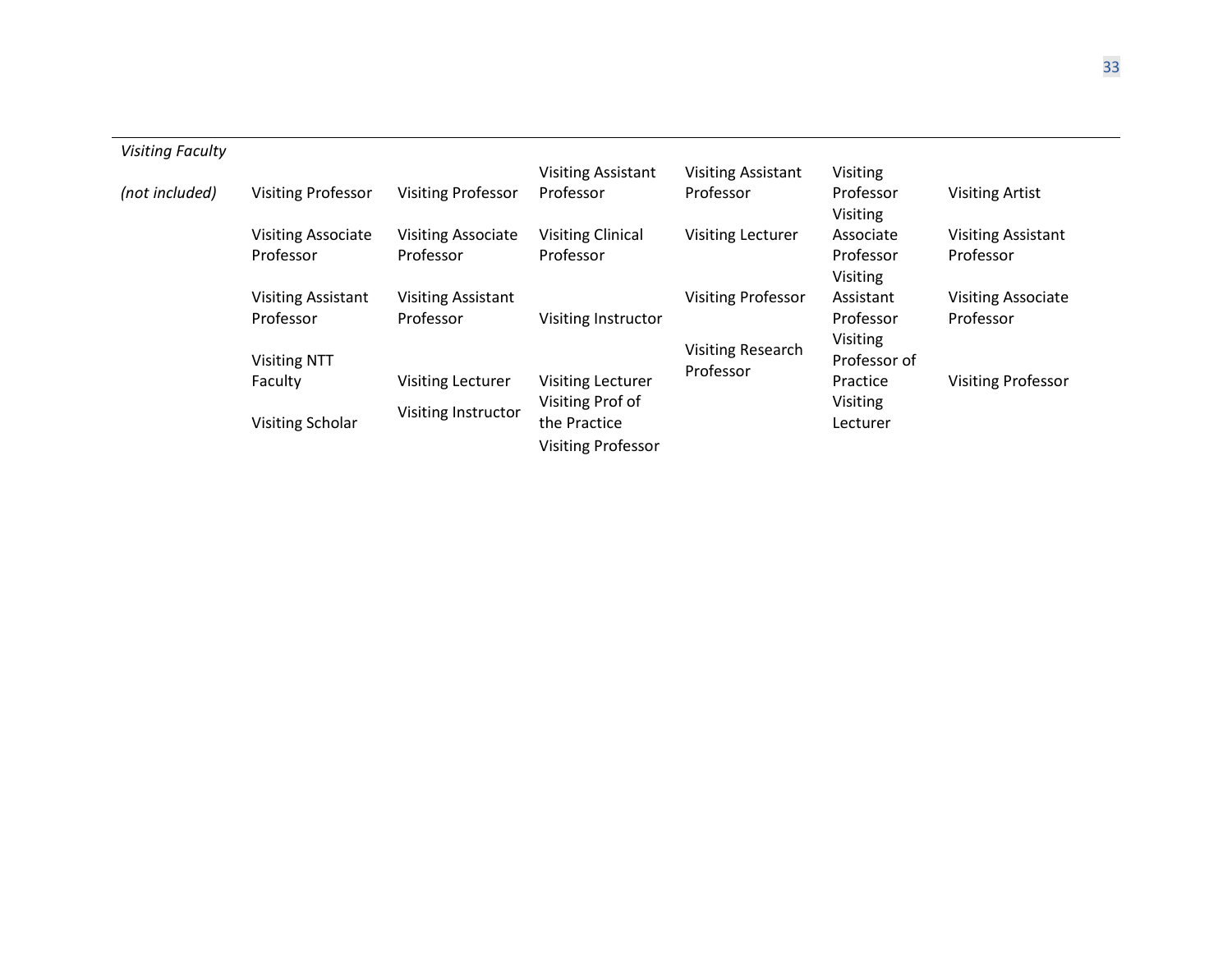| <b>Visiting Faculty</b> |                           |                           |                           |                           |                       |                           |
|-------------------------|---------------------------|---------------------------|---------------------------|---------------------------|-----------------------|---------------------------|
|                         |                           |                           | <b>Visiting Assistant</b> | <b>Visiting Assistant</b> | Visiting              |                           |
| (not included)          | <b>Visiting Professor</b> | <b>Visiting Professor</b> | Professor                 | Professor                 | Professor<br>Visiting | <b>Visiting Artist</b>    |
|                         | <b>Visiting Associate</b> | <b>Visiting Associate</b> | <b>Visiting Clinical</b>  | <b>Visiting Lecturer</b>  | Associate             | <b>Visiting Assistant</b> |
|                         | Professor                 | Professor                 | Professor                 |                           | Professor             | Professor                 |
|                         |                           |                           |                           |                           | <b>Visiting</b>       |                           |
|                         | <b>Visiting Assistant</b> | <b>Visiting Assistant</b> |                           | <b>Visiting Professor</b> | Assistant             | <b>Visiting Associate</b> |
|                         | Professor                 | Professor                 | Visiting Instructor       |                           | Professor             | Professor                 |
|                         |                           |                           |                           |                           | Visiting              |                           |
|                         | <b>Visiting NTT</b>       |                           |                           | <b>Visiting Research</b>  | Professor of          |                           |
|                         | Faculty                   | <b>Visiting Lecturer</b>  | <b>Visiting Lecturer</b>  | Professor                 | Practice              | <b>Visiting Professor</b> |
|                         | Visiting Scholar          | Visiting Instructor       | Visiting Prof of          |                           | Visiting              |                           |
|                         |                           |                           | the Practice              |                           | Lecturer              |                           |
|                         |                           |                           | <b>Visiting Professor</b> |                           |                       |                           |

33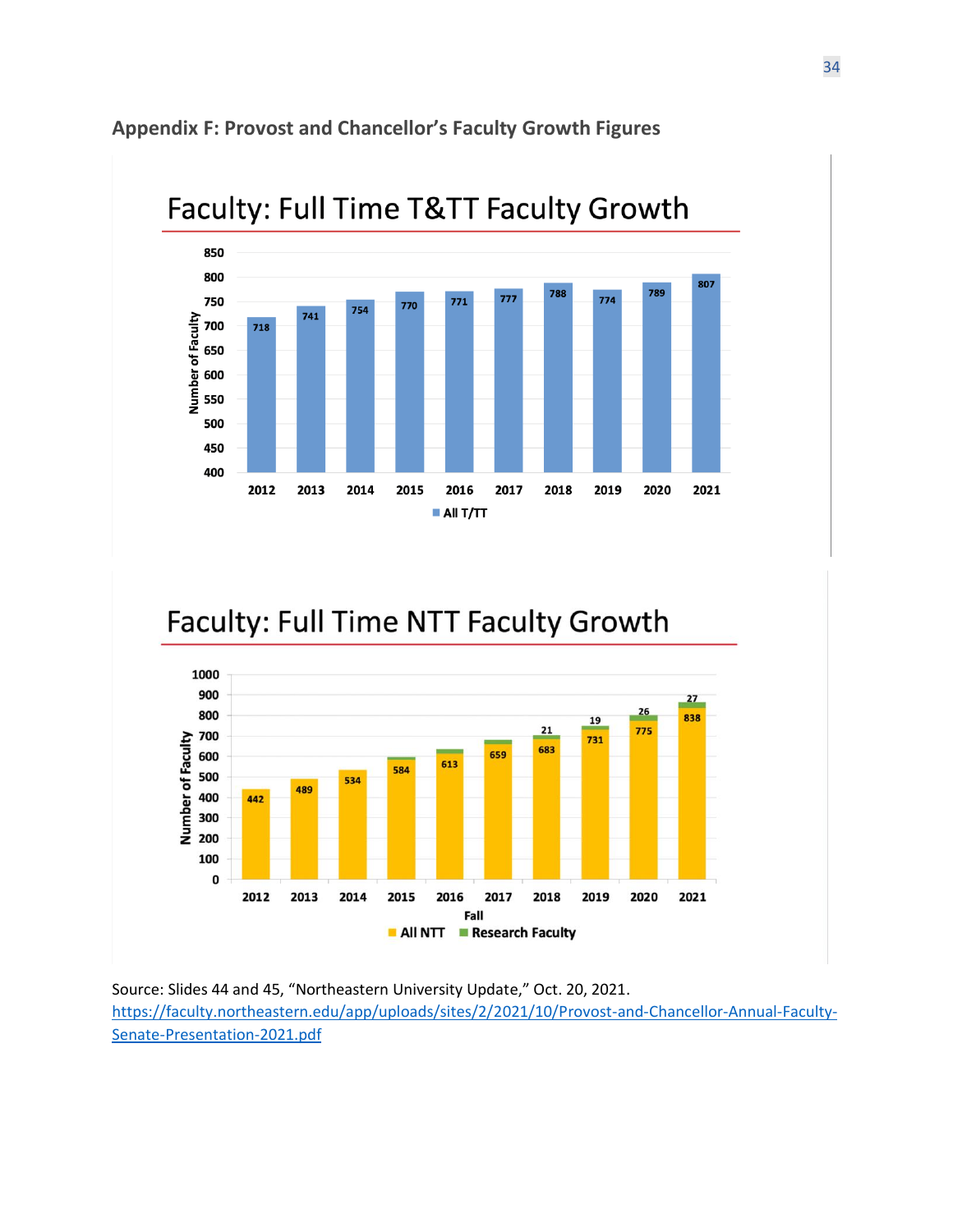



# Faculty: Full Time NTT Faculty Growth



Source: Slides 44 and 45, "Northeastern University Update," Oct. 20, 2021. [https://faculty.northeastern.edu/app/uploads/sites/2/2021/10/Provost-and-Chancellor-Annual-Faculty-](https://faculty.northeastern.edu/app/uploads/sites/2/2021/10/Provost-and-Chancellor-Annual-Faculty-Senate-Presentation-2021.pdf)[Senate-Presentation-2021.pdf](https://faculty.northeastern.edu/app/uploads/sites/2/2021/10/Provost-and-Chancellor-Annual-Faculty-Senate-Presentation-2021.pdf)